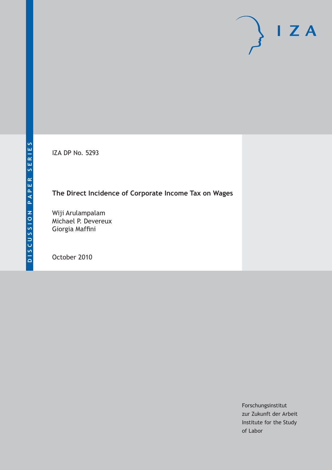IZA DP No. 5293

# **The Direct Incidence of Corporate Income Tax on Wages**

Wiji Arulampalam Michael P. Devereux Giorgia Maffini

October 2010

Forschungsinstitut zur Zukunft der Arbeit Institute for the Study of Labor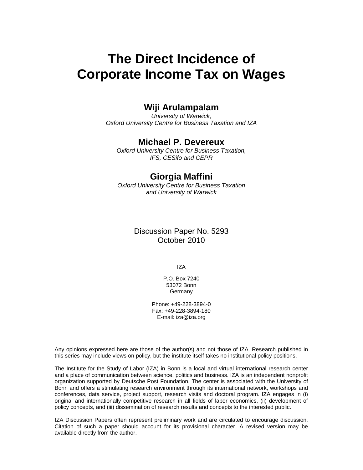# **The Direct Incidence of Corporate Income Tax on Wages**

# **Wiji Arulampalam**

*University of Warwick, Oxford University Centre for Business Taxation and IZA* 

# **Michael P. Devereux**

*Oxford University Centre for Business Taxation, IFS, CESifo and CEPR* 

### **Giorgia Maffini**

*Oxford University Centre for Business Taxation and University of Warwick* 

## Discussion Paper No. 5293 October 2010

IZA

P.O. Box 7240 53072 Bonn Germany

Phone: +49-228-3894-0 Fax: +49-228-3894-180 E-mail: iza@iza.org

Any opinions expressed here are those of the author(s) and not those of IZA. Research published in this series may include views on policy, but the institute itself takes no institutional policy positions.

The Institute for the Study of Labor (IZA) in Bonn is a local and virtual international research center and a place of communication between science, politics and business. IZA is an independent nonprofit organization supported by Deutsche Post Foundation. The center is associated with the University of Bonn and offers a stimulating research environment through its international network, workshops and conferences, data service, project support, research visits and doctoral program. IZA engages in (i) original and internationally competitive research in all fields of labor economics, (ii) development of policy concepts, and (iii) dissemination of research results and concepts to the interested public.

IZA Discussion Papers often represent preliminary work and are circulated to encourage discussion. Citation of such a paper should account for its provisional character. A revised version may be available directly from the author.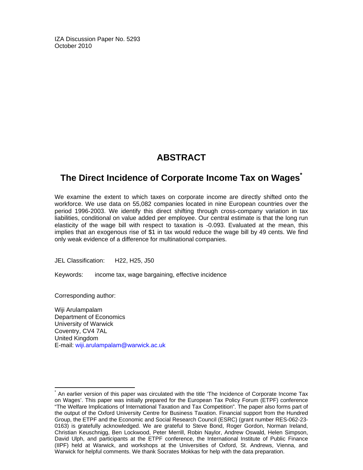IZA Discussion Paper No. 5293 October 2010

# **ABSTRACT**

# **The Direct Incidence of Corporate Income Tax on Wages\***

We examine the extent to which taxes on corporate income are directly shifted onto the workforce. We use data on 55,082 companies located in nine European countries over the period 1996-2003. We identify this direct shifting through cross-company variation in tax liabilities, conditional on value added per employee. Our central estimate is that the long run elasticity of the wage bill with respect to taxation is -0.093. Evaluated at the mean, this implies that an exogenous rise of \$1 in tax would reduce the wage bill by 49 cents. We find only weak evidence of a difference for multinational companies.

JEL Classification: H22, H25, J50

Keywords: income tax, wage bargaining, effective incidence

Corresponding author:

 $\frac{1}{2}$ 

Wiji Arulampalam Department of Economics University of Warwick Coventry, CV4 7AL United Kingdom E-mail: wiji.arulampalam@warwick.ac.uk

<sup>\*</sup> An earlier version of this paper was circulated with the title 'The Incidence of Corporate Income Tax on Wages'. This paper was initially prepared for the European Tax Policy Forum (ETPF) conference "The Welfare Implications of International Taxation and Tax Competition". The paper also forms part of the output of the Oxford University Centre for Business Taxation. Financial support from the Hundred Group, the ETPF and the Economic and Social Research Council (ESRC) (grant number RES-062-23- 0163) is gratefully acknowledged. We are grateful to Steve Bond, Roger Gordon, Norman Ireland, Christian Keuschnigg, Ben Lockwood, Peter Merrill, Robin Naylor, Andrew Oswald, Helen Simpson, David Ulph, and participants at the ETPF conference, the International Institute of Public Finance (IIPF) held at Warwick, and workshops at the Universities of Oxford, St. Andrews, Vienna, and Warwick for helpful comments. We thank Socrates Mokkas for help with the data preparation.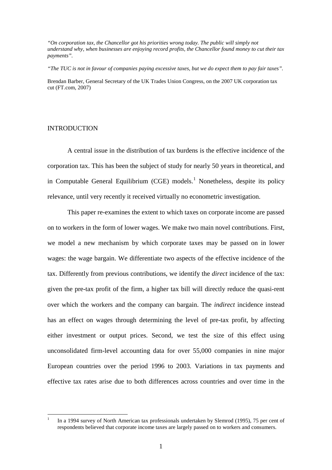*"On corporation tax, the Chancellor got his priorities wrong today. The public will simply not understand why, when businesses are enjoying record profits, the Chancellor found money to cut their tax payments".* 

*"The TUC is not in favour of companies paying excessive taxes, but we do expect them to pay fair taxes".*

Brendan Barber, General Secretary of the UK Trades Union Congress, on the 2007 UK corporation tax cut (FT.com, 2007)

#### INTRODUCTION

A central issue in the distribution of tax burdens is the effective incidence of the corporation tax. This has been the subject of study for nearly 50 years in theoretical, and in Computable General Equilibrium (CGE) models.<sup>[1](#page-3-0)</sup> Nonetheless, despite its policy relevance, until very recently it received virtually no econometric investigation.

This paper re-examines the extent to which taxes on corporate income are passed on to workers in the form of lower wages. We make two main novel contributions. First, we model a new mechanism by which corporate taxes may be passed on in lower wages: the wage bargain. We differentiate two aspects of the effective incidence of the tax. Differently from previous contributions, we identify the *direct* incidence of the tax: given the pre-tax profit of the firm, a higher tax bill will directly reduce the quasi-rent over which the workers and the company can bargain. The *indirect* incidence instead has an effect on wages through determining the level of pre-tax profit, by affecting either investment or output prices. Second, we test the size of this effect using unconsolidated firm-level accounting data for over 55,000 companies in nine major European countries over the period 1996 to 2003. Variations in tax payments and effective tax rates arise due to both differences across countries and over time in the

<span id="page-3-0"></span> <sup>1</sup> In a 1994 survey of North American tax professionals undertaken by Slemrod (1995), 75 per cent of respondents believed that corporate income taxes are largely passed on to workers and consumers.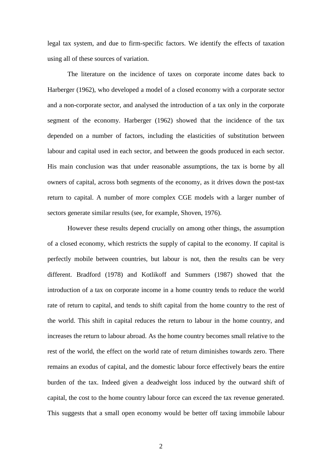legal tax system, and due to firm-specific factors. We identify the effects of taxation using all of these sources of variation.

The literature on the incidence of taxes on corporate income dates back to Harberger (1962), who developed a model of a closed economy with a corporate sector and a non-corporate sector, and analysed the introduction of a tax only in the corporate segment of the economy. Harberger (1962) showed that the incidence of the tax depended on a number of factors, including the elasticities of substitution between labour and capital used in each sector, and between the goods produced in each sector. His main conclusion was that under reasonable assumptions, the tax is borne by all owners of capital, across both segments of the economy, as it drives down the post-tax return to capital. A number of more complex CGE models with a larger number of sectors generate similar results (see, for example, Shoven, 1976).

However these results depend crucially on among other things, the assumption of a closed economy, which restricts the supply of capital to the economy. If capital is perfectly mobile between countries, but labour is not, then the results can be very different. Bradford (1978) and Kotlikoff and Summers (1987) showed that the introduction of a tax on corporate income in a home country tends to reduce the world rate of return to capital, and tends to shift capital from the home country to the rest of the world. This shift in capital reduces the return to labour in the home country, and increases the return to labour abroad. As the home country becomes small relative to the rest of the world, the effect on the world rate of return diminishes towards zero. There remains an exodus of capital, and the domestic labour force effectively bears the entire burden of the tax. Indeed given a deadweight loss induced by the outward shift of capital, the cost to the home country labour force can exceed the tax revenue generated. This suggests that a small open economy would be better off taxing immobile labour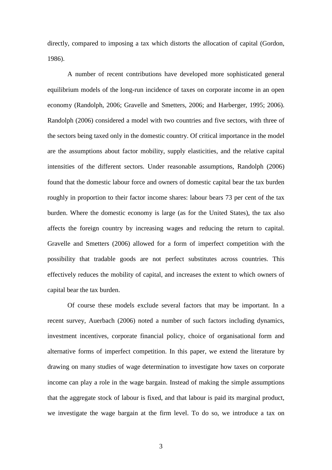directly, compared to imposing a tax which distorts the allocation of capital (Gordon, 1986).

A number of recent contributions have developed more sophisticated general equilibrium models of the long-run incidence of taxes on corporate income in an open economy (Randolph, 2006; Gravelle and Smetters, 2006; and Harberger, 1995; 2006). Randolph (2006) considered a model with two countries and five sectors, with three of the sectors being taxed only in the domestic country. Of critical importance in the model are the assumptions about factor mobility, supply elasticities, and the relative capital intensities of the different sectors. Under reasonable assumptions, Randolph (2006) found that the domestic labour force and owners of domestic capital bear the tax burden roughly in proportion to their factor income shares: labour bears 73 per cent of the tax burden. Where the domestic economy is large (as for the United States), the tax also affects the foreign country by increasing wages and reducing the return to capital. Gravelle and Smetters (2006) allowed for a form of imperfect competition with the possibility that tradable goods are not perfect substitutes across countries. This effectively reduces the mobility of capital, and increases the extent to which owners of capital bear the tax burden.

Of course these models exclude several factors that may be important. In a recent survey, Auerbach (2006) noted a number of such factors including dynamics, investment incentives, corporate financial policy, choice of organisational form and alternative forms of imperfect competition. In this paper, we extend the literature by drawing on many studies of wage determination to investigate how taxes on corporate income can play a role in the wage bargain. Instead of making the simple assumptions that the aggregate stock of labour is fixed, and that labour is paid its marginal product, we investigate the wage bargain at the firm level. To do so, we introduce a tax on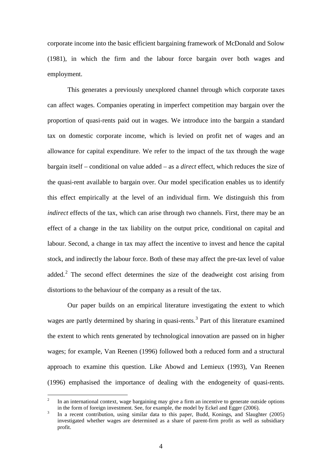corporate income into the basic efficient bargaining framework of McDonald and Solow (1981), in which the firm and the labour force bargain over both wages and employment.

This generates a previously unexplored channel through which corporate taxes can affect wages. Companies operating in imperfect competition may bargain over the proportion of quasi-rents paid out in wages. We introduce into the bargain a standard tax on domestic corporate income, which is levied on profit net of wages and an allowance for capital expenditure. We refer to the impact of the tax through the wage bargain itself – conditional on value added – as a *direct* effect, which reduces the size of the quasi-rent available to bargain over. Our model specification enables us to identify this effect empirically at the level of an individual firm. We distinguish this from *indirect* effects of the tax, which can arise through two channels. First, there may be an effect of a change in the tax liability on the output price, conditional on capital and labour. Second, a change in tax may affect the incentive to invest and hence the capital stock, and indirectly the labour force. Both of these may affect the pre-tax level of value added.<sup>[2](#page-6-0)</sup> The second effect determines the size of the deadweight cost arising from distortions to the behaviour of the company as a result of the tax.

Our paper builds on an empirical literature investigating the extent to which wages are partly determined by sharing in quasi-rents.<sup>[3](#page-6-1)</sup> Part of this literature examined the extent to which rents generated by technological innovation are passed on in higher wages; for example, Van Reenen (1996) followed both a reduced form and a structural approach to examine this question. Like Abowd and Lemieux (1993), Van Reenen (1996) emphasised the importance of dealing with the endogeneity of quasi-rents.

<span id="page-6-0"></span> <sup>2</sup> In an international context, wage bargaining may give a firm an incentive to generate outside options in the form of foreign investment. See, for example, the model by Eckel and Egger (2006).

<span id="page-6-1"></span><sup>&</sup>lt;sup>3</sup> In a recent contribution, using similar data to this paper, Budd, Konings, and Slaughter (2005) investigated whether wages are determined as a share of parent-firm profit as well as subsidiary profit.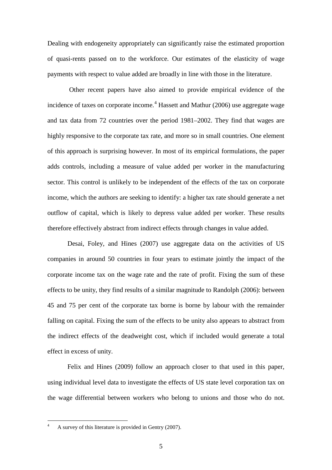Dealing with endogeneity appropriately can significantly raise the estimated proportion of quasi-rents passed on to the workforce. Our estimates of the elasticity of wage payments with respect to value added are broadly in line with those in the literature.

Other recent papers have also aimed to provide empirical evidence of the incidence of taxes on corporate income.<sup>[4](#page-7-0)</sup> Hassett and Mathur (2006) use aggregate wage and tax data from 72 countries over the period 1981–2002. They find that wages are highly responsive to the corporate tax rate, and more so in small countries. One element of this approach is surprising however. In most of its empirical formulations, the paper adds controls, including a measure of value added per worker in the manufacturing sector. This control is unlikely to be independent of the effects of the tax on corporate income, which the authors are seeking to identify: a higher tax rate should generate a net outflow of capital, which is likely to depress value added per worker. These results therefore effectively abstract from indirect effects through changes in value added.

Desai, Foley, and Hines (2007) use aggregate data on the activities of US companies in around 50 countries in four years to estimate jointly the impact of the corporate income tax on the wage rate and the rate of profit. Fixing the sum of these effects to be unity, they find results of a similar magnitude to Randolph (2006): between 45 and 75 per cent of the corporate tax borne is borne by labour with the remainder falling on capital. Fixing the sum of the effects to be unity also appears to abstract from the indirect effects of the deadweight cost, which if included would generate a total effect in excess of unity.

Felix and Hines (2009) follow an approach closer to that used in this paper, using individual level data to investigate the effects of US state level corporation tax on the wage differential between workers who belong to unions and those who do not.

<span id="page-7-0"></span><sup>&</sup>lt;sup>4</sup> A survey of this literature is provided in Gentry (2007).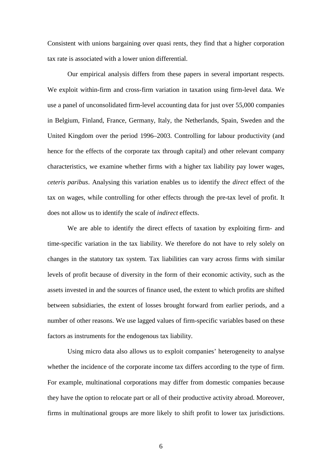Consistent with unions bargaining over quasi rents, they find that a higher corporation tax rate is associated with a lower union differential.

Our empirical analysis differs from these papers in several important respects. We exploit within-firm and cross-firm variation in taxation using firm-level data. We use a panel of unconsolidated firm-level accounting data for just over 55,000 companies in Belgium, Finland, France, Germany, Italy, the Netherlands, Spain, Sweden and the United Kingdom over the period 1996–2003. Controlling for labour productivity (and hence for the effects of the corporate tax through capital) and other relevant company characteristics, we examine whether firms with a higher tax liability pay lower wages, *ceteris paribus*. Analysing this variation enables us to identify the *direct* effect of the tax on wages, while controlling for other effects through the pre-tax level of profit. It does not allow us to identify the scale of *indirect* effects.

We are able to identify the direct effects of taxation by exploiting firm- and time-specific variation in the tax liability. We therefore do not have to rely solely on changes in the statutory tax system. Tax liabilities can vary across firms with similar levels of profit because of diversity in the form of their economic activity, such as the assets invested in and the sources of finance used, the extent to which profits are shifted between subsidiaries, the extent of losses brought forward from earlier periods, and a number of other reasons. We use lagged values of firm-specific variables based on these factors as instruments for the endogenous tax liability.

Using micro data also allows us to exploit companies' heterogeneity to analyse whether the incidence of the corporate income tax differs according to the type of firm. For example, multinational corporations may differ from domestic companies because they have the option to relocate part or all of their productive activity abroad. Moreover, firms in multinational groups are more likely to shift profit to lower tax jurisdictions.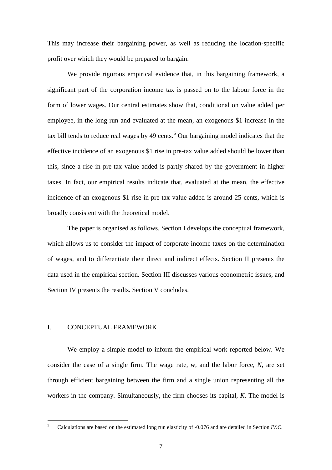This may increase their bargaining power, as well as reducing the location-specific profit over which they would be prepared to bargain.

We provide rigorous empirical evidence that, in this bargaining framework, a significant part of the corporation income tax is passed on to the labour force in the form of lower wages. Our central estimates show that, conditional on value added per employee, in the long run and evaluated at the mean, an exogenous \$1 increase in the tax bill tends to reduce real wages by 49 cents.<sup>[5](#page-9-0)</sup> Our bargaining model indicates that the effective incidence of an exogenous \$1 rise in pre-tax value added should be lower than this, since a rise in pre-tax value added is partly shared by the government in higher taxes. In fact, our empirical results indicate that, evaluated at the mean, the effective incidence of an exogenous \$1 rise in pre-tax value added is around 25 cents, which is broadly consistent with the theoretical model.

The paper is organised as follows. Section I develops the conceptual framework, which allows us to consider the impact of corporate income taxes on the determination of wages, and to differentiate their direct and indirect effects. Section II presents the data used in the empirical section. Section III discusses various econometric issues, and Section IV presents the results. Section V concludes.

#### I. CONCEPTUAL FRAMEWORK

We employ a simple model to inform the empirical work reported below. We consider the case of a single firm. The wage rate, *w*, and the labor force, *N,* are set through efficient bargaining between the firm and a single union representing all the workers in the company. Simultaneously, the firm chooses its capital, *K*. The model is

<span id="page-9-0"></span> <sup>5</sup> Calculations are based on the estimated long run elasticity of -0.076 and are detailed in Section *IV.C*.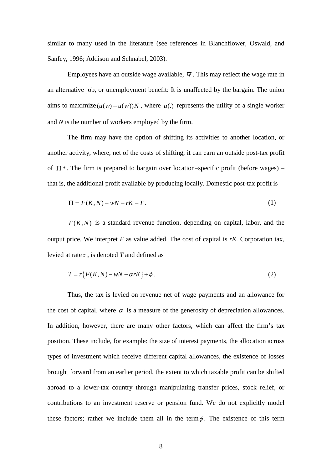similar to many used in the literature (see references in Blanchflower, Oswald, and Sanfey, 1996; Addison and Schnabel, 2003).

Employees have an outside wage available,  $\overline{w}$ . This may reflect the wage rate in an alternative job, or unemployment benefit: It is unaffected by the bargain. The union aims to maximize  $(u(w) - u(\overline{w}))N$ , where  $u(.)$  represents the utility of a single worker and *N* is the number of workers employed by the firm.

The firm may have the option of shifting its activities to another location, or another activity, where, net of the costs of shifting, it can earn an outside post-tax profit of  $\Pi^*$ . The firm is prepared to bargain over location–specific profit (before wages) – that is, the additional profit available by producing locally. Domestic post-tax profit is

$$
\Pi = F(K, N) - wN - rK - T. \tag{1}
$$

 $F(K,N)$  is a standard revenue function, depending on capital, labor, and the output price. We interpret *F* as value added. The cost of capital is *rK.* Corporation tax, levied at rate  $\tau$ , is denoted *T* and defined as

$$
T = \tau \{ F(K, N) - wN - \alpha rK \} + \phi \,. \tag{2}
$$

Thus, the tax is levied on revenue net of wage payments and an allowance for the cost of capital, where  $\alpha$  is a measure of the generosity of depreciation allowances. In addition, however, there are many other factors, which can affect the firm's tax position. These include, for example: the size of interest payments, the allocation across types of investment which receive different capital allowances, the existence of losses brought forward from an earlier period, the extent to which taxable profit can be shifted abroad to a lower-tax country through manipulating transfer prices, stock relief, or contributions to an investment reserve or pension fund. We do not explicitly model these factors; rather we include them all in the term  $\phi$ . The existence of this term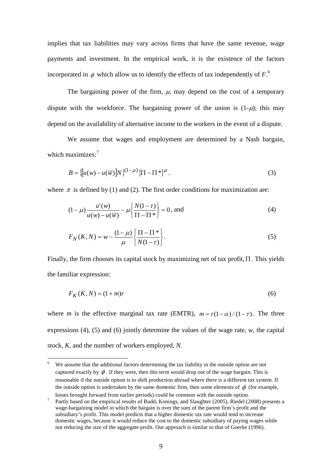implies that tax liabilities may vary across firms that have the same revenue, wage payments and investment. In the empirical work, it is the existence of the factors incorporated in  $\phi$  which allow us to identify the effects of tax independently of  $F^6$  $F^6$ .

The bargaining power of the firm,  $\mu$ , may depend on the cost of a temporary dispute with the workforce. The bargaining power of the union is  $(1-\mu)$ ; this may depend on the availability of alternative income to the workers in the event of a dispute.

We assume that wages and employment are determined by a Nash bargain, which maximizes:<sup>[7](#page-11-1)</sup>

$$
B = \left\{ \left[ u(w) - u(\overline{w}) \right] N \right\}^{(1-\mu)} \left\{ \prod - \prod \ast \right\}^{\mu} . \tag{3}
$$

where  $\pi$  is defined by (1) and (2). The first order conditions for maximization are:

$$
(1 - \mu) \frac{u'(w)}{u(w) - u(\overline{w})} - \mu \left\{ \frac{N(1 - \tau)}{\Pi - \Pi^*} \right\} = 0, \text{ and}
$$
 (4)

$$
F_N(K, N) = w - \frac{(1 - \mu)}{\mu} \left\{ \frac{\Pi - \Pi^*}{N(1 - \tau)} \right\}.
$$
 (5)

Finally, the firm chooses its capital stock by maximizing net of tax profit,Π . This yields the familiar expression:

$$
F_K(K, N) = (1+m)r
$$
\n<sup>(6)</sup>

where *m* is the effective marginal tax rate (EMTR),  $m = \tau(1-\alpha)/(1-\tau)$ . The three expressions (4), (5) and (6) jointly determine the values of the wage rate, *w*, the capital stock, *K*, and the number of workers employed, *N*.

<span id="page-11-0"></span>We assume that the additional factors determining the tax liability in the outside option are not captured exactly by  $\phi$ . If they were, then this term would drop out of the wage bargain. This is reasonable if the outside option is to shift production abroad where there is a different tax system. If the outside option is undertaken by the same domestic firm, then some elements of  $\phi$  (for example,

<span id="page-11-1"></span>losses brought forward from earlier periods) could be common with the outside option.<br>Partly based on the empirical results of Budd, Konings, and Slaughter (2005), Riedel (2008) presents a wage-bargaining model in which the bargain is over the sum of the parent firm's profit and the subsidiary's profit. This model predicts that a higher domestic tax rate would tend to increase domestic wages, because it would reduce the cost to the domestic subsidiary of paying wages while not reducing the size of the aggregate profit. Our approach is similar to that of Goerke (1996).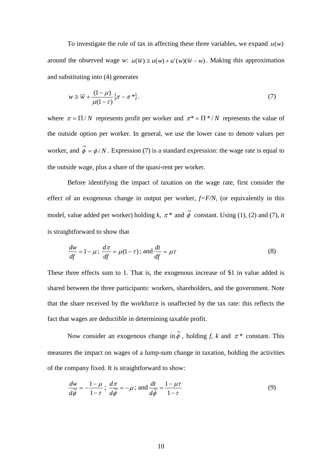To investigate the role of tax in affecting these three variables, we expand  $u(w)$ around the observed wage *w*:  $u(\overline{w}) \approx u(w) + u'(w)(\overline{w} - w)$ . Making this approximation and substituting into (4) generates

$$
w \cong \overline{w} + \frac{(1 - \mu)}{\mu(1 - \tau)} \{\pi - \pi^*\}.
$$
 (7)

where  $\pi = \Pi/N$  represents profit per worker and  $\pi^* = \Pi^* / N$  represents the value of the outside option per worker. In general, we use the lower case to denote values per worker, and  $\tilde{\phi} = \phi / N$ . Expression (7) is a standard expression: the wage rate is equal to the outside wage, plus a share of the quasi-rent per worker.

Before identifying the impact of taxation on the wage rate, first consider the effect of an exogenous change in output per worker, *f=F/N*, (or equivalently in this model, value added per worker) holding *k*,  $\pi^*$  and  $\tilde{\phi}$  constant. Using (1), (2) and (7), it is straightforward to show that

$$
\frac{dw}{df} = 1 - \mu; \quad \frac{d\pi}{df} = \mu(1 - \tau); \text{ and } \frac{dt}{df} = \mu\tau
$$
\n(8)

These three effects sum to 1. That is, the exogenous increase of \$1 in value added is shared between the three participants: workers, shareholders, and the government. Note that the share received by the workforce is unaffected by the tax rate: this reflects the fact that wages are deductible in determining taxable profit.

Now consider an exogenous change in  $\widetilde{\phi}$ , holding *f*, *k* and  $\pi$ <sup>\*</sup> constant. This measures the impact on wages of a lump-sum change in taxation, holding the activities of the company fixed. It is straightforward to show:

$$
\frac{dw}{d\tilde{\phi}} = -\frac{1-\mu}{1-\tau}; \ \frac{d\pi}{d\tilde{\phi}} = -\mu; \text{ and } \frac{dt}{d\tilde{\phi}} = \frac{1-\mu\tau}{1-\tau}
$$
(9)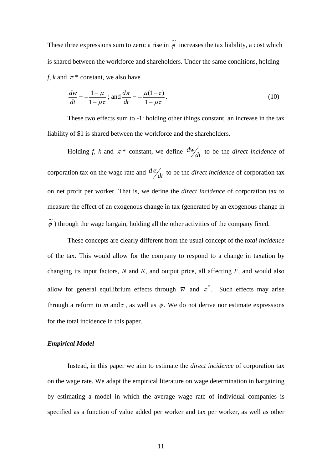These three expressions sum to zero: a rise in  $\tilde{\phi}$  increases the tax liability, a cost which is shared between the workforce and shareholders. Under the same conditions, holding *f, k* and  $\pi$ <sup>\*</sup> constant, we also have

$$
\frac{dw}{dt} = -\frac{1-\mu}{1-\mu\tau}; \text{ and } \frac{d\pi}{dt} = -\frac{\mu(1-\tau)}{1-\mu\tau}.
$$
\n(10)

These two effects sum to -1: holding other things constant, an increase in the tax liability of \$1 is shared between the workforce and the shareholders.

Holding *f, k* and  $\pi^*$  constant, we define  $\frac{dw}{dt}$  to be the *direct incidence* of corporation tax on the wage rate and  $\frac{d\pi}{dt}$  to be the *direct incidence* of corporation tax on net profit per worker. That is, we define the *direct incidence* of corporation tax to measure the effect of an exogenous change in tax (generated by an exogenous change in  $\tilde{\phi}$ ) through the wage bargain, holding all the other activities of the company fixed.

These concepts are clearly different from the usual concept of the *total incidence* of the tax. This would allow for the company to respond to a change in taxation by changing its input factors, *N* and *K*, and output price, all affecting *F*, and would also allow for general equilibrium effects through  $\overline{w}$  and  $\pi^*$ . Such effects may arise through a reform to *m* and  $\tau$ , as well as  $\phi$ . We do not derive nor estimate expressions for the total incidence in this paper.

#### *Empirical Model*

Instead, in this paper we aim to estimate the *direct incidence* of corporation tax on the wage rate. We adapt the empirical literature on wage determination in bargaining by estimating a model in which the average wage rate of individual companies is specified as a function of value added per worker and tax per worker, as well as other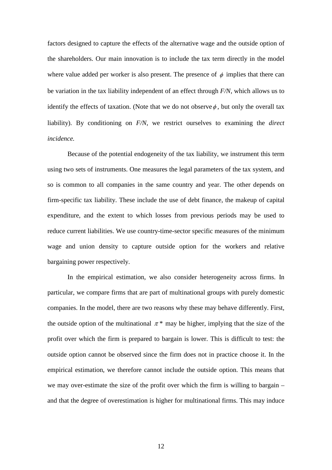factors designed to capture the effects of the alternative wage and the outside option of the shareholders. Our main innovation is to include the tax term directly in the model where value added per worker is also present. The presence of  $\phi$  implies that there can be variation in the tax liability independent of an effect through *F/N*, which allows us to identify the effects of taxation. (Note that we do not observe  $\phi$ , but only the overall tax liability). By conditioning on *F/N*, we restrict ourselves to examining the *direct incidence.* 

Because of the potential endogeneity of the tax liability, we instrument this term using two sets of instruments. One measures the legal parameters of the tax system, and so is common to all companies in the same country and year. The other depends on firm-specific tax liability. These include the use of debt finance, the makeup of capital expenditure, and the extent to which losses from previous periods may be used to reduce current liabilities. We use country-time-sector specific measures of the minimum wage and union density to capture outside option for the workers and relative bargaining power respectively.

In the empirical estimation, we also consider heterogeneity across firms. In particular, we compare firms that are part of multinational groups with purely domestic companies. In the model, there are two reasons why these may behave differently. First, the outside option of the multinational  $\pi^*$  may be higher, implying that the size of the profit over which the firm is prepared to bargain is lower. This is difficult to test: the outside option cannot be observed since the firm does not in practice choose it. In the empirical estimation, we therefore cannot include the outside option. This means that we may over-estimate the size of the profit over which the firm is willing to bargain – and that the degree of overestimation is higher for multinational firms. This may induce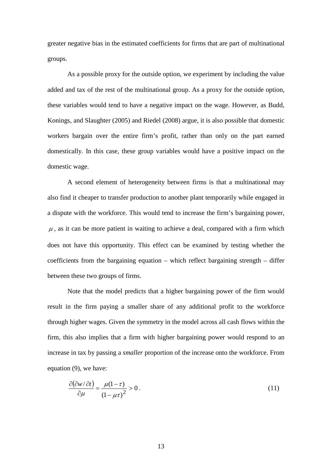greater negative bias in the estimated coefficients for firms that are part of multinational groups.

As a possible proxy for the outside option, we experiment by including the value added and tax of the rest of the multinational group. As a proxy for the outside option, these variables would tend to have a negative impact on the wage. However, as Budd, Konings, and Slaughter (2005) and Riedel (2008) argue, it is also possible that domestic workers bargain over the entire firm's profit, rather than only on the part earned domestically. In this case, these group variables would have a positive impact on the domestic wage.

A second element of heterogeneity between firms is that a multinational may also find it cheaper to transfer production to another plant temporarily while engaged in a dispute with the workforce. This would tend to increase the firm's bargaining power,  $\mu$ , as it can be more patient in waiting to achieve a deal, compared with a firm which does not have this opportunity. This effect can be examined by testing whether the coefficients from the bargaining equation – which reflect bargaining strength – differ between these two groups of firms.

Note that the model predicts that a higher bargaining power of the firm would result in the firm paying a smaller share of any additional profit to the workforce through higher wages. Given the symmetry in the model across all cash flows within the firm, this also implies that a firm with higher bargaining power would respond to an increase in tax by passing a *smaller* proportion of the increase onto the workforce. From equation (9), we have:

$$
\frac{\partial(\partial w/\partial t)}{\partial \mu} = \frac{\mu(1-\tau)}{(1-\mu\tau)^2} > 0.
$$
\n(11)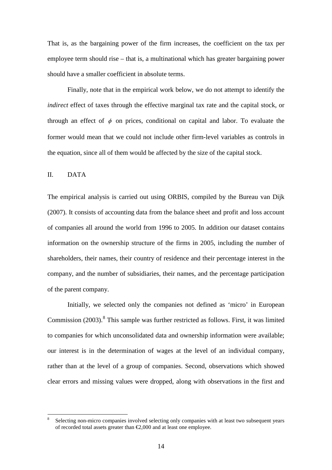That is, as the bargaining power of the firm increases, the coefficient on the tax per employee term should rise – that is, a multinational which has greater bargaining power should have a smaller coefficient in absolute terms.

Finally, note that in the empirical work below, we do not attempt to identify the *indirect* effect of taxes through the effective marginal tax rate and the capital stock, or through an effect of  $\phi$  on prices, conditional on capital and labor. To evaluate the former would mean that we could not include other firm-level variables as controls in the equation, since all of them would be affected by the size of the capital stock.

#### II. DATA

The empirical analysis is carried out using ORBIS, compiled by the Bureau van Dijk (2007). It consists of accounting data from the balance sheet and profit and loss account of companies all around the world from 1996 to 2005. In addition our dataset contains information on the ownership structure of the firms in 2005, including the number of shareholders, their names, their country of residence and their percentage interest in the company, and the number of subsidiaries, their names, and the percentage participation of the parent company.

Initially, we selected only the companies not defined as 'micro' in European Commission  $(2003)$ .<sup>[8](#page-16-0)</sup> This sample was further restricted as follows. First, it was limited to companies for which unconsolidated data and ownership information were available; our interest is in the determination of wages at the level of an individual company, rather than at the level of a group of companies. Second, observations which showed clear errors and missing values were dropped, along with observations in the first and

<span id="page-16-0"></span><sup>&</sup>lt;sup>8</sup> Selecting non-micro companies involved selecting only companies with at least two subsequent years of recorded total assets greater than €2,000 and at least one employee.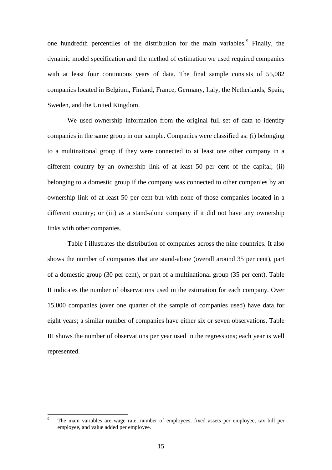one hundredth percentiles of the distribution for the main variables.<sup>[9](#page-17-0)</sup> Finally, the dynamic model specification and the method of estimation we used required companies with at least four continuous years of data. The final sample consists of 55,082 companies located in Belgium, Finland, France, Germany, Italy, the Netherlands, Spain, Sweden, and the United Kingdom.

We used ownership information from the original full set of data to identify companies in the same group in our sample. Companies were classified as: (i) belonging to a multinational group if they were connected to at least one other company in a different country by an ownership link of at least 50 per cent of the capital; (ii) belonging to a domestic group if the company was connected to other companies by an ownership link of at least 50 per cent but with none of those companies located in a different country; or (iii) as a stand-alone company if it did not have any ownership links with other companies.

Table I illustrates the distribution of companies across the nine countries. It also shows the number of companies that are stand-alone (overall around 35 per cent), part of a domestic group (30 per cent), or part of a multinational group (35 per cent). Table II indicates the number of observations used in the estimation for each company. Over 15,000 companies (over one quarter of the sample of companies used) have data for eight years; a similar number of companies have either six or seven observations. Table III shows the number of observations per year used in the regressions; each year is well represented.

<span id="page-17-0"></span>The main variables are wage rate, number of employees, fixed assets per employee, tax bill per employee, and value added per employee.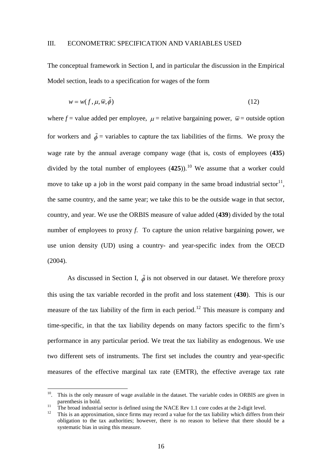#### III. ECONOMETRIC SPECIFICATION AND VARIABLES USED

The conceptual framework in Section I, and in particular the discussion in the Empirical Model section, leads to a specification for wages of the form

$$
w = w(f, \mu, \overline{w}, \tilde{\phi})
$$
\n<sup>(12)</sup>

where  $f$  = value added per employee,  $\mu$  = relative bargaining power,  $\bar{w}$  = outside option for workers and  $\tilde{\phi}$  = variables to capture the tax liabilities of the firms. We proxy the wage rate by the annual average company wage (that is, costs of employees (**435**) divided by the total number of employees  $(425)$ .<sup>[10](#page-18-0)</sup> We assume that a worker could move to take up a job in the worst paid company in the same broad industrial sector<sup>[11](#page-18-1)</sup>, the same country, and the same year; we take this to be the outside wage in that sector, country, and year. We use the ORBIS measure of value added (**439**) divided by the total number of employees to proxy *f*. To capture the union relative bargaining power, we use union density (UD) using a country- and year-specific index from the OECD (2004).

As discussed in Section I,  $\tilde{\phi}$  is not observed in our dataset. We therefore proxy this using the tax variable recorded in the profit and loss statement (**430**). This is our measure of the tax liability of the firm in each period.<sup>[12](#page-18-2)</sup> This measure is company and time-specific, in that the tax liability depends on many factors specific to the firm's performance in any particular period. We treat the tax liability as endogenous. We use two different sets of instruments. The first set includes the country and year-specific measures of the effective marginal tax rate (EMTR), the effective average tax rate

<span id="page-18-0"></span> $10$ . This is the only measure of wage available in the dataset. The variable codes in ORBIS are given in parenthesis in bold.<br>The broad industrial sector is defined using the NACE Rev 1.1 core codes at the 2-digit level.

<span id="page-18-1"></span><sup>&</sup>lt;sup>11</sup> The broad industrial sector is defined using the NACE Rev 1.1 core codes at the 2-digit level.<br><sup>12</sup> This is an approximation, since firms may record a value for the tax liability which differs from their

<span id="page-18-2"></span>obligation to the tax authorities; however, there is no reason to believe that there should be a systematic bias in using this measure.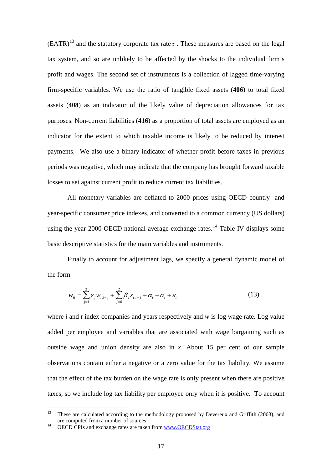$(EATR)^{13}$  $(EATR)^{13}$  $(EATR)^{13}$  and the statutory corporate tax rate  $\tau$ . These measures are based on the legal tax system, and so are unlikely to be affected by the shocks to the individual firm's profit and wages. The second set of instruments is a collection of lagged time-varying firm-specific variables. We use the ratio of tangible fixed assets (**406**) to total fixed assets (**408**) as an indicator of the likely value of depreciation allowances for tax purposes. Non-current liabilities (**416**) as a proportion of total assets are employed as an indicator for the extent to which taxable income is likely to be reduced by interest payments. We also use a binary indicator of whether profit before taxes in previous periods was negative, which may indicate that the company has brought forward taxable losses to set against current profit to reduce current tax liabilities.

All monetary variables are deflated to 2000 prices using OECD country- and year-specific consumer price indexes, and converted to a common currency (US dollars) using the year 2000 OECD national average exchange rates.<sup>[14](#page-19-1)</sup> Table IV displays some basic descriptive statistics for the main variables and instruments.

Finally to account for adjustment lags, we specify a general dynamic model of the form

$$
w_{it} = \sum_{j=1}^{2} \gamma_j w_{i,t-j} + \sum_{j=0}^{2} \beta_j x_{i,t-j} + \alpha_i + \alpha_t + \varepsilon_{it}
$$
 (13)

where *i* and *t* index companies and years respectively and *w* is log wage rate. Log value added per employee and variables that are associated with wage bargaining such as outside wage and union density are also in *x*. About 15 per cent of our sample observations contain either a negative or a zero value for the tax liability. We assume that the effect of the tax burden on the wage rate is only present when there are positive taxes, so we include log tax liability per employee only when it is positive. To account

<span id="page-19-0"></span><sup>&</sup>lt;sup>13</sup> These are calculated according to the methodology proposed by Devereux and Griffith (2003), and are computed from a number of sources.<br><sup>14</sup> OECD CPIs and exchange rates are taken from [www.OECDStat.org](http://www.oecdstat.org/)

<span id="page-19-1"></span>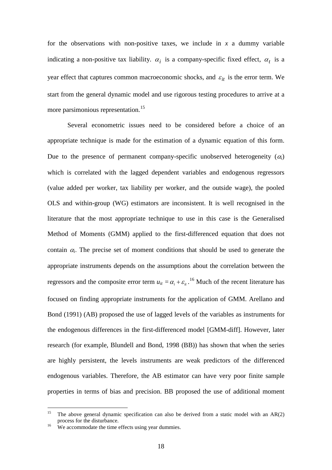for the observations with non-positive taxes, we include in  $x$  a dummy variable indicating a non-positive tax liability.  $\alpha_i$  is a company-specific fixed effect,  $\alpha_t$  is a year effect that captures common macroeconomic shocks, and  $\varepsilon_{it}$  is the error term. We start from the general dynamic model and use rigorous testing procedures to arrive at a more parsimonious representation.<sup>[15](#page-20-0)</sup>

Several econometric issues need to be considered before a choice of an appropriate technique is made for the estimation of a dynamic equation of this form. Due to the presence of permanent company-specific unobserved heterogeneity  $(\alpha_i)$ which is correlated with the lagged dependent variables and endogenous regressors (value added per worker, tax liability per worker, and the outside wage), the pooled OLS and within-group (WG) estimators are inconsistent. It is well recognised in the literature that the most appropriate technique to use in this case is the Generalised Method of Moments (GMM) applied to the first-differenced equation that does not contain  $\alpha_i$ . The precise set of moment conditions that should be used to generate the appropriate instruments depends on the assumptions about the correlation between the regressors and the composite error term  $u_{it} = \alpha_i + \varepsilon_{it}$ .<sup>[16](#page-20-1)</sup> Much of the recent literature has focused on finding appropriate instruments for the application of GMM. Arellano and Bond (1991) (AB) proposed the use of lagged levels of the variables as instruments for the endogenous differences in the first-differenced model [GMM-diff]. However, later research (for example, Blundell and Bond, 1998 (BB)) has shown that when the series are highly persistent, the levels instruments are weak predictors of the differenced endogenous variables. Therefore, the AB estimator can have very poor finite sample properties in terms of bias and precision. BB proposed the use of additional moment

<span id="page-20-0"></span><sup>&</sup>lt;sup>15</sup> The above general dynamic specification can also be derived from a static model with an  $AR(2)$ process for the disturbance.

<span id="page-20-1"></span> $16$  We accommodate the time effects using year dummies.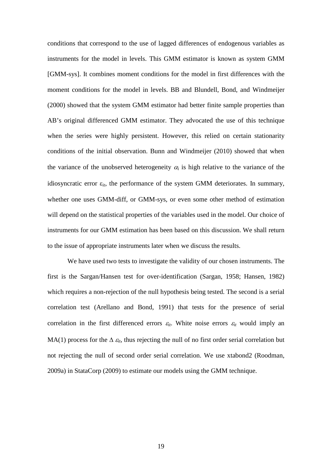conditions that correspond to the use of lagged differences of endogenous variables as instruments for the model in levels. This GMM estimator is known as system GMM [GMM-sys]. It combines moment conditions for the model in first differences with the moment conditions for the model in levels. BB and Blundell, Bond, and Windmeijer (2000) showed that the system GMM estimator had better finite sample properties than AB's original differenced GMM estimator. They advocated the use of this technique when the series were highly persistent. However, this relied on certain stationarity conditions of the initial observation. Bunn and Windmeijer (2010) showed that when the variance of the unobserved heterogeneity  $\alpha_i$  is high relative to the variance of the idiosyncratic error  $\varepsilon_{it}$ , the performance of the system GMM deteriorates. In summary, whether one uses GMM-diff, or GMM-sys, or even some other method of estimation will depend on the statistical properties of the variables used in the model. Our choice of instruments for our GMM estimation has been based on this discussion. We shall return to the issue of appropriate instruments later when we discuss the results.

We have used two tests to investigate the validity of our chosen instruments. The first is the Sargan/Hansen test for over-identification (Sargan, 1958; Hansen, 1982) which requires a non-rejection of the null hypothesis being tested. The second is a serial correlation test (Arellano and Bond, 1991) that tests for the presence of serial correlation in the first differenced errors  $\varepsilon_{it}$ . White noise errors  $\varepsilon_{it}$  would imply an MA(1) process for the  $\Delta \varepsilon_{it}$ , thus rejecting the null of no first order serial correlation but not rejecting the null of second order serial correlation. We use xtabond2 (Roodman, 2009a) in StataCorp (2009) to estimate our models using the GMM technique.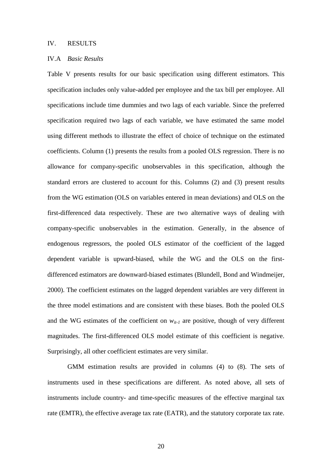#### IV. RESULTS

#### IV.A *Basic Results*

Table V presents results for our basic specification using different estimators. This specification includes only value-added per employee and the tax bill per employee. All specifications include time dummies and two lags of each variable. Since the preferred specification required two lags of each variable, we have estimated the same model using different methods to illustrate the effect of choice of technique on the estimated coefficients. Column (1) presents the results from a pooled OLS regression. There is no allowance for company-specific unobservables in this specification, although the standard errors are clustered to account for this. Columns (2) and (3) present results from the WG estimation (OLS on variables entered in mean deviations) and OLS on the first-differenced data respectively. These are two alternative ways of dealing with company-specific unobservables in the estimation. Generally, in the absence of endogenous regressors, the pooled OLS estimator of the coefficient of the lagged dependent variable is upward-biased, while the WG and the OLS on the firstdifferenced estimators are downward-biased estimates (Blundell, Bond and Windmeijer, 2000). The coefficient estimates on the lagged dependent variables are very different in the three model estimations and are consistent with these biases. Both the pooled OLS and the WG estimates of the coefficient on  $w_{it-1}$  are positive, though of very different magnitudes. The first-differenced OLS model estimate of this coefficient is negative. Surprisingly, all other coefficient estimates are very similar.

GMM estimation results are provided in columns (4) to (8). The sets of instruments used in these specifications are different. As noted above, all sets of instruments include country- and time-specific measures of the effective marginal tax rate (EMTR), the effective average tax rate (EATR), and the statutory corporate tax rate.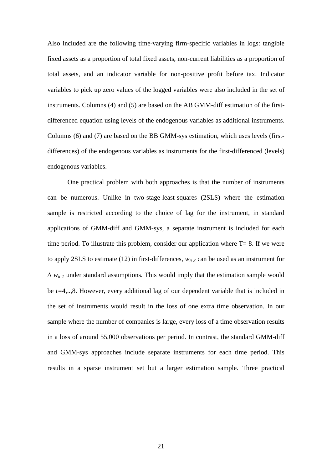Also included are the following time-varying firm-specific variables in logs: tangible fixed assets as a proportion of total fixed assets, non-current liabilities as a proportion of total assets, and an indicator variable for non-positive profit before tax. Indicator variables to pick up zero values of the logged variables were also included in the set of instruments. Columns (4) and (5) are based on the AB GMM-diff estimation of the firstdifferenced equation using levels of the endogenous variables as additional instruments. Columns (6) and (7) are based on the BB GMM-sys estimation, which uses levels (firstdifferences) of the endogenous variables as instruments for the first-differenced (levels) endogenous variables.

One practical problem with both approaches is that the number of instruments can be numerous. Unlike in two-stage-least-squares (2SLS) where the estimation sample is restricted according to the choice of lag for the instrument, in standard applications of GMM-diff and GMM-sys, a separate instrument is included for each time period. To illustrate this problem, consider our application where  $T=8$ . If we were to apply 2SLS to estimate (12) in first-differences,  $w_{it-3}$  can be used as an instrument for ∆ *wit-1* under standard assumptions*.* This would imply that the estimation sample would be *t=*4,..,8. However, every additional lag of our dependent variable that is included in the set of instruments would result in the loss of one extra time observation. In our sample where the number of companies is large, every loss of a time observation results in a loss of around 55,000 observations per period. In contrast, the standard GMM-diff and GMM-sys approaches include separate instruments for each time period. This results in a sparse instrument set but a larger estimation sample. Three practical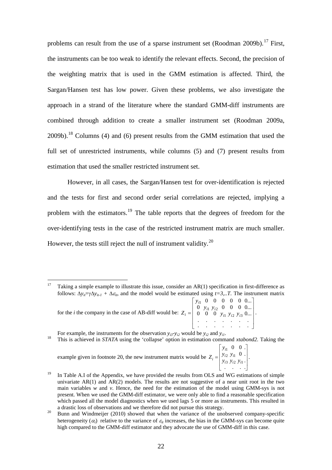problems can result from the use of a sparse instrument set (Roodman 2009b).<sup>[17](#page-24-0)</sup> First, the instruments can be too weak to identify the relevant effects. Second, the precision of the weighting matrix that is used in the GMM estimation is affected. Third, the Sargan/Hansen test has low power. Given these problems, we also investigate the approach in a strand of the literature where the standard GMM-diff instruments are combined through addition to create a smaller instrument set (Roodman 2009a,  $2009b$ ).<sup>[18](#page-24-1)</sup> Columns (4) and (6) present results from the GMM estimation that used the full set of unrestricted instruments, while columns  $(5)$  and  $(7)$  present results from estimation that used the smaller restricted instrument set.

However, in all cases, the Sargan/Hansen test for over-identification is rejected and the tests for first and second order serial correlations are rejected, implying a problem with the estimators.<sup>[19](#page-24-2)</sup> The table reports that the degrees of freedom for the over-identifying tests in the case of the restricted instrument matrix are much smaller. However, the tests still reject the null of instrument validity.<sup>[20](#page-24-3)</sup>

<span id="page-24-1"></span>For example, the instruments for the observation  $y_{i3} - y_{i2}$  would be  $y_{i2}$  and  $y_{i1}$ .<br><sup>18</sup> This is achieved in *STATA* using the 'collapse' option in estimation command *xtabond2*. Taking the

example given in footnote 20, the new instrument matrix would be  $\overline{a}$  $\overline{\phantom{a}}$  $\overline{\phantom{a}}$  $\overline{\phantom{a}}$ L = . . . . .  $0$  . 3 *y*<sub>i2</sub> *y*<sub>i1</sub>  $2 y_i1$ 1 *i i i i i i*  $y_i = y_{i3} y_{i2}$ *y y*  $Z_i = \begin{bmatrix} y_{i2} & y_{i1} & \cdots & y_{i} \\ \cdots & \cdots & \cdots & \cdots \end{bmatrix}$ 

<span id="page-24-0"></span><sup>&</sup>lt;sup>17</sup> Taking a simple example to illustrate this issue, consider an  $AR(1)$  specification in first-difference as follows:  $\Delta y_{ii} = \gamma \Delta y_{ii-1} + \Delta \varepsilon_{ii}$ , and the model would be estimated using *t*=3,..*T*. The instrument matrix

for the *i* the company in the case of AB-diff would be:  $\overline{\phantom{a}}$  $\overline{\phantom{a}}$  $\overline{\phantom{a}}$  $\overline{\phantom{a}}$  $\frac{1}{2}$  $\overline{\phantom{a}}$ I I I I L I = . . . . . . . . . . . . . . 0 0 0  $y_{i1}$   $y_{i2}$   $y_{i3}$  0... 0  $y_{i1}$   $y_{i2}$  0 0 0 0... 0 0 0 0 0 0... 1 *y* i2 *y* i3  $1 \ y_{i2}$ 1 *i i i i* 1 *y i i*  $y_i = \begin{pmatrix} 0 & 0 & 0 & y_{i1} & y_{i2} & y_{i3} \\ 0 & 0 & 0 & y_{i1} & y_{i2} & y_{i3} \\ 0 & 0 & 0 & 0 & y_{i3} & y_{i3} \end{pmatrix}$ *y y y*  $Z_i = \begin{vmatrix} 0 & 0 & 0 & y_{i1} & y_{i2} & y_{i3} & 0 \dots \end{vmatrix}$ .

 $\mathbf{r}$  $0 \t 0.$ *y*

<span id="page-24-2"></span><sup>&</sup>lt;sup>19</sup> In Table A.I of the Appendix, we have provided the results from OLS and WG estimations of simple univariate  $AR(1)$  and  $AR(2)$  models. The results are not suggestive of a near unit root in the two main variables *w* and *v*. Hence, the need for the estimation of the model using GMM-sys is not present. When we used the GMM-diff estimator, we were only able to find a reasonable specification which passed all the model diagnostics when we used lags 5 or more as instruments. This resulted in a drastic loss of observations and we therefore did not pursue this strategy. <sup>20</sup> Bunn and Windmeijer (2010) showed that when the variance of the unobserved company-specific

<span id="page-24-3"></span>heterogeneity  $(\alpha_i)$  relative to the variance of  $\varepsilon_i$  increases, the bias in the GMM-sys can become quite high compared to the GMM-diff estimator and they advocate the use of GMM-diff in this case.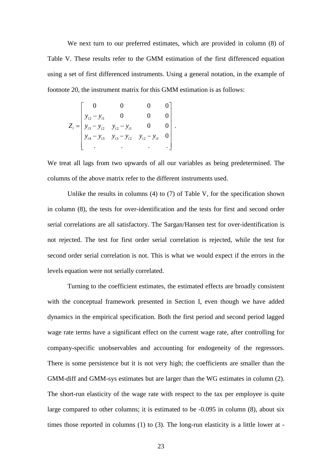We next turn to our preferred estimates, which are provided in column (8) of Table V. These results refer to the GMM estimation of the first differenced equation using a set of first differenced instruments. Using a general notation, in the example of footnote 20, the instrument matrix for this GMM estimation is as follows:

$$
Z_{i} = \begin{bmatrix} 0 & 0 & 0 & 0 \\ y_{i2} - y_{i1} & 0 & 0 & 0 \\ y_{i3} - y_{i2} & y_{i2} - y_{i1} & 0 & 0 \\ y_{i4} - y_{i3} & y_{i3} - y_{i2} & y_{i2} - y_{i1} & 0 \\ . & . & . & . \end{bmatrix}
$$

We treat all lags from two upwards of all our variables as being predetermined. The columns of the above matrix refer to the different instruments used.

.

Unlike the results in columns (4) to (7) of Table V, for the specification shown in column (8), the tests for over-identification and the tests for first and second order serial correlations are all satisfactory. The Sargan/Hansen test for over-identification is not rejected. The test for first order serial correlation is rejected, while the test for second order serial correlation is not. This is what we would expect if the errors in the levels equation were not serially correlated.

Turning to the coefficient estimates, the estimated effects are broadly consistent with the conceptual framework presented in Section I, even though we have added dynamics in the empirical specification. Both the first period and second period lagged wage rate terms have a significant effect on the current wage rate, after controlling for company-specific unobservables and accounting for endogeneity of the regressors. There is some persistence but it is not very high; the coefficients are smaller than the GMM-diff and GMM-sys estimates but are larger than the WG estimates in column (2). The short-run elasticity of the wage rate with respect to the tax per employee is quite large compared to other columns; it is estimated to be -0.095 in column (8), about six times those reported in columns (1) to (3). The long-run elasticity is a little lower at -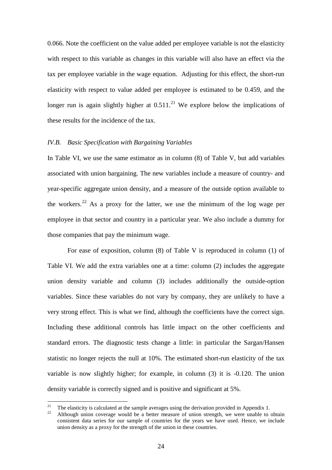0.066. Note the coefficient on the value added per employee variable is not the elasticity with respect to this variable as changes in this variable will also have an effect via the tax per employee variable in the wage equation. Adjusting for this effect, the short-run elasticity with respect to value added per employee is estimated to be 0.459, and the longer run is again slightly higher at  $0.511$ .<sup>[21](#page-26-0)</sup> We explore below the implications of these results for the incidence of the tax.

#### *IV.B. Basic Specification with Bargaining Variables*

In Table VI, we use the same estimator as in column (8) of Table V, but add variables associated with union bargaining. The new variables include a measure of country- and year-specific aggregate union density, and a measure of the outside option available to the workers.<sup>[22](#page-26-1)</sup> As a proxy for the latter, we use the minimum of the log wage per employee in that sector and country in a particular year. We also include a dummy for those companies that pay the minimum wage.

For ease of exposition, column (8) of Table V is reproduced in column (1) of Table VI. We add the extra variables one at a time: column (2) includes the aggregate union density variable and column (3) includes additionally the outside-option variables. Since these variables do not vary by company, they are unlikely to have a very strong effect. This is what we find, although the coefficients have the correct sign. Including these additional controls has little impact on the other coefficients and standard errors. The diagnostic tests change a little: in particular the Sargan/Hansen statistic no longer rejects the null at 10%. The estimated short-run elasticity of the tax variable is now slightly higher; for example, in column (3) it is -0.120. The union density variable is correctly signed and is positive and significant at 5%.

<span id="page-26-1"></span><span id="page-26-0"></span><sup>&</sup>lt;sup>21</sup> The elasticity is calculated at the sample averages using the derivation provided in Appendix 1.<br><sup>22</sup> Although union coverage would be a better measure of union strength, we were unable to obtain consistent data series for our sample of countries for the years we have used. Hence, we include union density as a proxy for the strength of the union in these countries.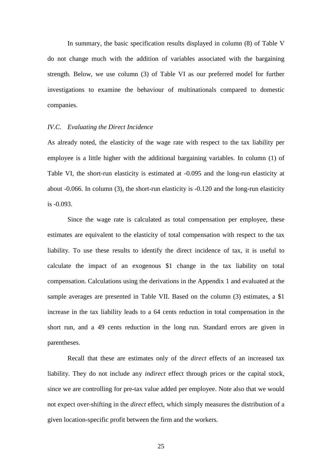In summary, the basic specification results displayed in column (8) of Table V do not change much with the addition of variables associated with the bargaining strength. Below, we use column (3) of Table VI as our preferred model for further investigations to examine the behaviour of multinationals compared to domestic companies.

#### *IV.C. Evaluating the Direct Incidence*

As already noted, the elasticity of the wage rate with respect to the tax liability per employee is a little higher with the additional bargaining variables. In column (1) of Table VI, the short-run elasticity is estimated at -0.095 and the long-run elasticity at about -0.066. In column (3), the short-run elasticity is -0.120 and the long-run elasticity is -0.093.

Since the wage rate is calculated as total compensation per employee, these estimates are equivalent to the elasticity of total compensation with respect to the tax liability. To use these results to identify the direct incidence of tax, it is useful to calculate the impact of an exogenous \$1 change in the tax liability on total compensation. Calculations using the derivations in the Appendix 1 and evaluated at the sample averages are presented in Table VII. Based on the column (3) estimates, a \$1 increase in the tax liability leads to a 64 cents reduction in total compensation in the short run, and a 49 cents reduction in the long run. Standard errors are given in parentheses.

Recall that these are estimates only of the *direct* effects of an increased tax liability. They do not include any *indirect* effect through prices or the capital stock, since we are controlling for pre-tax value added per employee. Note also that we would not expect over-shifting in the *direct* effect, which simply measures the distribution of a given location-specific profit between the firm and the workers.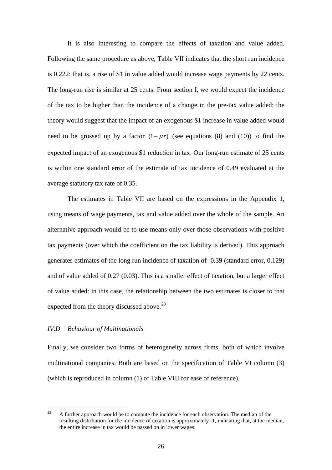It is also interesting to compare the effects of taxation and value added. Following the same procedure as above, Table VII indicates that the short run incidence is 0.222: that is, a rise of \$1 in value added would increase wage payments by 22 cents. The long-run rise is similar at 25 cents. From section I, we would expect the incidence of the tax to be higher than the incidence of a change in the pre-tax value added; the theory would suggest that the impact of an exogenous \$1 increase in value added would need to be grossed up by a factor  $(1 - \mu \tau)$  (see equations (8) and (10)) to find the expected impact of an exogenous \$1 reduction in tax. Our long-run estimate of 25 cents is within one standard error of the estimate of tax incidence of 0.49 evaluated at the average statutory tax rate of 0.35.

The estimates in Table VII are based on the expressions in the Appendix 1, using means of wage payments, tax and value added over the whole of the sample. An alternative approach would be to use means only over those observations with positive tax payments (over which the coefficient on the tax liability is derived). This approach generates estimates of the long run incidence of taxation of -0.39 (standard error, 0.129) and of value added of 0.27 (0.03). This is a smaller effect of taxation, but a larger effect of value added: in this case, the relationship between the two estimates is closer to that expected from the theory discussed above.<sup>[23](#page-28-0)</sup>

#### *IV.D Behaviour of Multinationals*

Finally, we consider two forms of heterogeneity across firms, both of which involve multinational companies. Both are based on the specification of Table VI column (3) (which is reproduced in column (1) of Table VIII for ease of reference).

<span id="page-28-0"></span> $23$  A further approach would be to compute the incidence for each observation. The median of the resulting distribution for the incidence of taxation is approximately -1, indicating that, at the median, the entire increase in tax would be passed on in lower wages.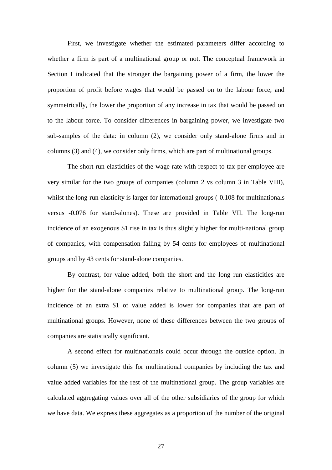First, we investigate whether the estimated parameters differ according to whether a firm is part of a multinational group or not. The conceptual framework in Section I indicated that the stronger the bargaining power of a firm, the lower the proportion of profit before wages that would be passed on to the labour force, and symmetrically, the lower the proportion of any increase in tax that would be passed on to the labour force. To consider differences in bargaining power, we investigate two sub-samples of the data: in column (2), we consider only stand-alone firms and in columns (3) and (4), we consider only firms, which are part of multinational groups.

The short-run elasticities of the wage rate with respect to tax per employee are very similar for the two groups of companies (column 2 vs column 3 in Table VIII), whilst the long-run elasticity is larger for international groups  $(-0.108$  for multinationals versus -0.076 for stand-alones). These are provided in Table VII. The long-run incidence of an exogenous \$1 rise in tax is thus slightly higher for multi-national group of companies, with compensation falling by 54 cents for employees of multinational groups and by 43 cents for stand-alone companies.

By contrast, for value added, both the short and the long run elasticities are higher for the stand-alone companies relative to multinational group. The long-run incidence of an extra \$1 of value added is lower for companies that are part of multinational groups. However, none of these differences between the two groups of companies are statistically significant.

A second effect for multinationals could occur through the outside option. In column (5) we investigate this for multinational companies by including the tax and value added variables for the rest of the multinational group. The group variables are calculated aggregating values over all of the other subsidiaries of the group for which we have data. We express these aggregates as a proportion of the number of the original

27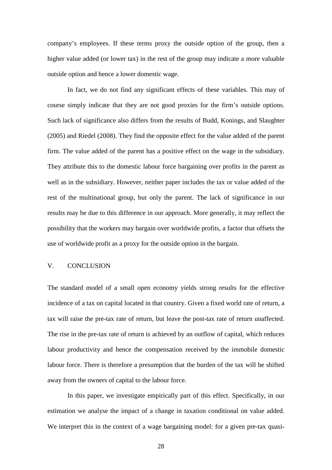company's employees. If these terms proxy the outside option of the group, then a higher value added (or lower tax) in the rest of the group may indicate a more valuable outside option and hence a lower domestic wage.

In fact, we do not find any significant effects of these variables. This may of course simply indicate that they are not good proxies for the firm's outside options. Such lack of significance also differs from the results of Budd, Konings, and Slaughter (2005) and Riedel (2008). They find the opposite effect for the value added of the parent firm. The value added of the parent has a positive effect on the wage in the subsidiary. They attribute this to the domestic labour force bargaining over profits in the parent as well as in the subsidiary. However, neither paper includes the tax or value added of the rest of the multinational group, but only the parent. The lack of significance in our results may be due to this difference in our approach. More generally, it may reflect the possibility that the workers may bargain over worldwide profits, a factor that offsets the use of worldwide profit as a proxy for the outside option in the bargain.

#### V. CONCLUSION

The standard model of a small open economy yields strong results for the effective incidence of a tax on capital located in that country. Given a fixed world rate of return, a tax will raise the pre-tax rate of return, but leave the post-tax rate of return unaffected. The rise in the pre-tax rate of return is achieved by an outflow of capital, which reduces labour productivity and hence the compensation received by the immobile domestic labour force. There is therefore a presumption that the burden of the tax will be shifted away from the owners of capital to the labour force.

In this paper, we investigate empirically part of this effect. Specifically, in our estimation we analyse the impact of a change in taxation conditional on value added. We interpret this in the context of a wage bargaining model: for a given pre-tax quasi-

28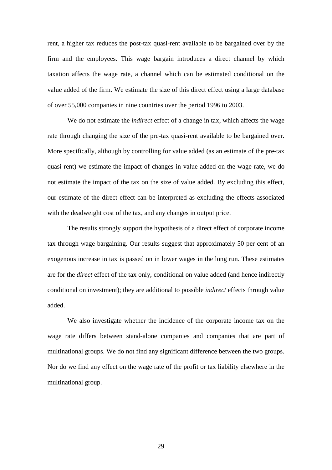rent, a higher tax reduces the post-tax quasi-rent available to be bargained over by the firm and the employees. This wage bargain introduces a direct channel by which taxation affects the wage rate, a channel which can be estimated conditional on the value added of the firm. We estimate the size of this direct effect using a large database of over 55,000 companies in nine countries over the period 1996 to 2003.

We do not estimate the *indirect* effect of a change in tax, which affects the wage rate through changing the size of the pre-tax quasi-rent available to be bargained over. More specifically, although by controlling for value added (as an estimate of the pre-tax quasi-rent) we estimate the impact of changes in value added on the wage rate, we do not estimate the impact of the tax on the size of value added. By excluding this effect, our estimate of the direct effect can be interpreted as excluding the effects associated with the deadweight cost of the tax, and any changes in output price.

The results strongly support the hypothesis of a direct effect of corporate income tax through wage bargaining. Our results suggest that approximately 50 per cent of an exogenous increase in tax is passed on in lower wages in the long run. These estimates are for the *direct* effect of the tax only, conditional on value added (and hence indirectly conditional on investment); they are additional to possible *indirect* effects through value added.

We also investigate whether the incidence of the corporate income tax on the wage rate differs between stand-alone companies and companies that are part of multinational groups. We do not find any significant difference between the two groups. Nor do we find any effect on the wage rate of the profit or tax liability elsewhere in the multinational group.

29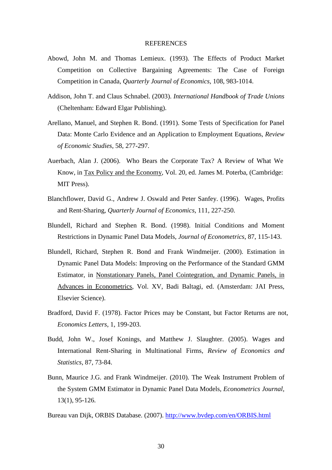#### REFERENCES

- Abowd, John M. and Thomas Lemieux. (1993). The Effects of Product Market Competition on Collective Bargaining Agreements: The Case of Foreign Competition in Canada, *Quarterly Journal of Economics*, 108, 983-1014.
- Addison, John T. and Claus Schnabel. (2003). *International Handbook of Trade Unions* (Cheltenham: Edward Elgar Publishing).
- Arellano, Manuel, and Stephen R. Bond. (1991). Some Tests of Specification for Panel Data: Monte Carlo Evidence and an Application to Employment Equations, *Review of Economic Studies*, 58, 277-297.
- Auerbach, Alan J. (2006). Who Bears the Corporate Tax? A Review of What We Know, in **Tax Policy and the Economy**, Vol. 20, ed. James M. Poterba, (Cambridge: MIT Press).
- Blanchflower, David G., Andrew J. Oswald and Peter Sanfey. (1996). Wages, Profits and Rent-Sharing, *Quarterly Journal of Economics*, 111, 227-250.
- Blundell, Richard and Stephen R. Bond. (1998). Initial Conditions and Moment Restrictions in Dynamic Panel Data Models, *Journal of Econometrics*, 87, 115-143.
- Blundell, Richard, Stephen R. Bond and Frank Windmeijer. (2000). Estimation in Dynamic Panel Data Models: Improving on the Performance of the Standard GMM Estimator, in Nonstationary Panels, Panel Cointegration, and Dynamic Panels, in Advances in Econometrics, Vol. XV, Badi Baltagi, ed. (Amsterdam: JAI Press, Elsevier Science).
- Bradford, David F. (1978). Factor Prices may be Constant, but Factor Returns are not, *Economics Letters*, 1, 199-203.
- Budd, John W., Josef Konings, and Matthew J. Slaughter. (2005). Wages and International Rent-Sharing in Multinational Firms, *Review of Economics and Statistics*, 87, 73-84.
- Bunn, Maurice J.G. and Frank Windmeijer. (2010). The Weak Instrument Problem of the System GMM Estimator in Dynamic Panel Data Models, *Econometrics Journal,* 13(1), 95-126.
- Bureau van Dijk, ORBIS Database. (2007).<http://www.bvdep.com/en/ORBIS.html>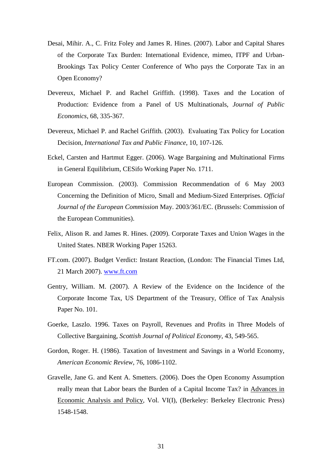- Desai, Mihir. A., C. Fritz Foley and James R. Hines. (2007). Labor and Capital Shares of the Corporate Tax Burden: International Evidence, mimeo, ITPF and Urban-Brookings Tax Policy Center Conference of Who pays the Corporate Tax in an Open Economy?
- Devereux, Michael P. and Rachel Griffith. (1998). Taxes and the Location of Production: Evidence from a Panel of US Multinationals, *Journal of Public Economics*, 68, 335-367.
- Devereux, Michael P. and Rachel Griffith. (2003). Evaluating Tax Policy for Location Decision, *International Tax and Public Finance*, 10, 107-126.
- Eckel, Carsten and Hartmut Egger. (2006). Wage Bargaining and Multinational Firms in General Equilibrium, CESifo Working Paper No. 1711.
- European Commission. (2003). Commission Recommendation of 6 May 2003 Concerning the Definition of Micro, Small and Medium-Sized Enterprises. *Official Journal of the European Commission* May. 2003/361/EC. (Brussels: Commission of the European Communities).
- Felix, Alison R. and James R. Hines. (2009). Corporate Taxes and Union Wages in the United States. NBER Working Paper 15263.
- FT.com. (2007). Budget Verdict: Instant Reaction, (London: [The Financial Times Ltd,](http://www.ft.com/servicestools/help/copyright) 21 March 2007). [www.ft.com](http://www.ft.com/)
- Gentry, William. M. (2007). A Review of the Evidence on the Incidence of the Corporate Income Tax, US Department of the Treasury, Office of Tax Analysis Paper No. 101.
- Goerke, Laszlo. 1996. Taxes on Payroll, Revenues and Profits in Three Models of Collective Bargaining, *Scottish Journal of Political Economy*, 43, 549-565.
- Gordon, Roger. H. (1986). Taxation of Investment and Savings in a World Economy, *American Economic Review*, 76, 1086-1102.
- Gravelle, Jane G. and Kent A. Smetters. (2006). Does the Open Economy Assumption really mean that Labor bears the Burden of a Capital Income Tax? in Advances in Economic Analysis and Policy, Vol. VI(I), (Berkeley: Berkeley Electronic Press) 1548-1548.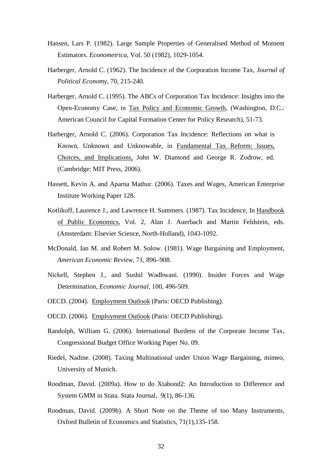- Hansen, Lars P. (1982). Large Sample Properties of Generalised Method of Moment Estimators. *Econometrica*, Vol. 50 (1982), 1029-1054.
- Harberger, Arnold C. (1962). The Incidence of the Corporation Income Tax, *Journal of Political Economy*, 70, 215-240.
- Harberger, Arnold C. (1995). The ABCs of Corporation Tax Incidence: Insights into the Open-Economy Case, in Tax Policy and Economic Growth, (Washington, D.C.: American Council for Capital Formation Center for Policy Research), 51-73.
- Harberger, Arnold C. (2006). Corporation Tax Incidence: Reflections on what is Known, Unknown and Unknowable, in Fundamental Tax Reform: Issues, Choices, and Implications, John W. Diamond and George R. Zodrow, ed. (Cambridge: MIT Press, 2006).
- Hassett, Kevin A. and Aparna Mathur. (2006). Taxes and Wages, American Enterprise Institute Working Paper 128.
- Kotlikoff, Laurence J., and Lawrence H. Summers. (1987). Tax Incidence, In Handbook of Public Economics, Vol. 2, Alan J. Auerbach and Martin Feldstein, eds. (Amsterdam: Elsevier Science, North-Holland), 1043-1092.
- McDonald, Ian M. and Robert M. Solow. (1981). Wage Bargaining and Employment, *American Economic Review*, 71, 896–908.
- Nickell, Stephen J., and Sushil Wadhwani. (1990). Insider Forces and Wage Determination, *Economic Journal,* 100, 496-509.
- OECD. (2004). Employment Outlook (Paris: OECD Publishing).
- OECD. (2006). Employment Outlook (Paris: OECD Publishing).
- Randolph, William G. (2006). International Burdens of the Corporate Income Tax, Congressional Budget Office Working Paper No. 09.
- Riedel, Nadine. (2008). Taxing Multinational under Union Wage Bargaining, mimeo, University of Munich.
- Roodman, David. (2009a). How to do Xtabond2: An Introduction to Difference and System GMM in Stata. Stata Journal, 9(1), 86-136.
- Roodman, David. (2009b). A Short Note on the Theme of too Many Instruments, Oxford Bulletin of Economics and Statistics, 71(1),135-158.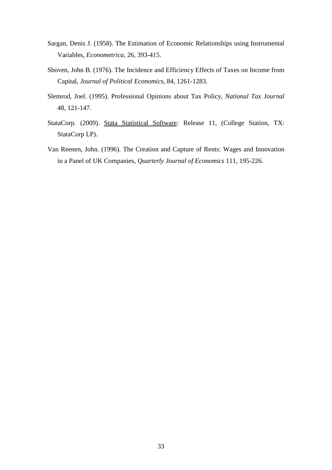- Sargan, Denis J. (1958). The Estimation of Economic Relationships using Instrumental Variables, *Econometrica,* 26, 393-415.
- Shoven, John B. (1976). The Incidence and Efficiency Effects of Taxes on Income from Capital, *Journal of Political Economics,* 84, 1261-1283.
- Slemrod, Joel. (1995). Professional Opinions about Tax Policy, *National Tax Journal* 48, 121-147.
- StataCorp. (2009). Stata Statistical Software*:* Release 11, (College Station, TX: StataCorp LP).
- Van Reenen, John. (1996). [The Creation and Capture of Rents: Wages and](http://links.jstor.org/sici?sici=0033-5533(199602)111%3A1%3C195%3ATCACOR%3E2.0.CO%3B2-I) Innovation [in a Panel of UK Companies,](http://links.jstor.org/sici?sici=0033-5533(199602)111%3A1%3C195%3ATCACOR%3E2.0.CO%3B2-I) *Quarterly Journal of Economics* 111, 195-226.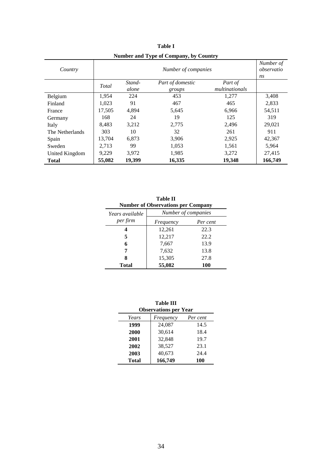| Country         |        | Number of<br>observatio<br>ns |                            |                           |         |
|-----------------|--------|-------------------------------|----------------------------|---------------------------|---------|
|                 | Total  | Stand-<br>alone               | Part of domestic<br>groups | Part of<br>multinationals |         |
| Belgium         | 1.954  | 224                           | 453                        | 1,277                     | 3,408   |
| Finland         | 1.023  | 91                            | 467                        | 465                       | 2,833   |
| France          | 17,505 | 4.894                         | 5,645                      | 6.966                     | 54,511  |
| Germany         | 168    | 24                            | 19                         | 125                       | 319     |
| Italy           | 8,483  | 3,212                         | 2,775                      | 2,496                     | 29,021  |
| The Netherlands | 303    | 10                            | 32                         | 261                       | 911     |
| Spain           | 13,704 | 6.873                         | 3,906                      | 2,925                     | 42,367  |
| Sweden          | 2,713  | 99                            | 1,053                      | 1,561                     | 5,964   |
| United Kingdom  | 9,229  | 3,972                         | 1,985                      | 3,272                     | 27,415  |
| <b>Total</b>    | 55,082 | 19,399                        | 16,335                     | 19,348                    | 166,749 |

**Table I Number and Type of Company, by Country**

| <b>Table II</b><br><b>Number of Observations per Company</b> |                     |          |  |  |  |  |  |
|--------------------------------------------------------------|---------------------|----------|--|--|--|--|--|
| Years available                                              | Number of companies |          |  |  |  |  |  |
| per firm                                                     | Frequency           | Per cent |  |  |  |  |  |
| 4                                                            | 12,261              | 22.3     |  |  |  |  |  |
| 5                                                            | 12,217              | 22.2     |  |  |  |  |  |
| 6                                                            | 7,667               | 13.9     |  |  |  |  |  |
| 7                                                            | 7,632               | 13.8     |  |  |  |  |  |
| 8                                                            | 15,305              | 27.8     |  |  |  |  |  |
| Total                                                        | 55,082              | 100      |  |  |  |  |  |

| <b>Table III</b><br><b>Observations per Year</b> |           |          |  |  |  |  |  |
|--------------------------------------------------|-----------|----------|--|--|--|--|--|
| Years                                            | Frequency | Per cent |  |  |  |  |  |
| 1999                                             | 24,087    | 14.5     |  |  |  |  |  |
| 2000                                             | 30,614    | 18.4     |  |  |  |  |  |
| 2001                                             | 32,848    | 19.7     |  |  |  |  |  |
| 2002                                             | 38,527    | 23.1     |  |  |  |  |  |
| 2003                                             | 40,673    | 24.4     |  |  |  |  |  |
| Total                                            | 166,749   | 100      |  |  |  |  |  |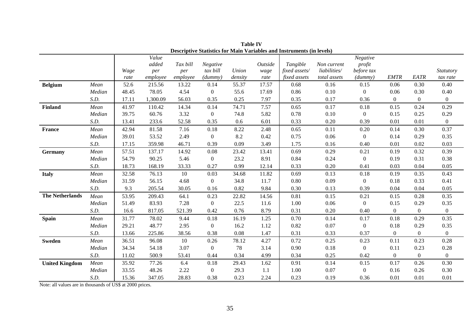| <b>Descriptive Statistics for Main Variables and Instruments (in levels)</b> |        |              |                                   |                             |                                |                  |                         |                                                  |                                             |                                             |                  |                |                              |
|------------------------------------------------------------------------------|--------|--------------|-----------------------------------|-----------------------------|--------------------------------|------------------|-------------------------|--------------------------------------------------|---------------------------------------------|---------------------------------------------|------------------|----------------|------------------------------|
|                                                                              |        | Wage<br>rate | Value<br>added<br>per<br>employee | Tax bill<br>per<br>employee | Negative<br>tax bill<br>(dumm) | Union<br>density | Outside<br>wage<br>rate | Tangible<br>fixed assets/<br><i>fixed assets</i> | Non current<br>liabilities/<br>total assets | Negative<br>profit<br>before tax<br>(dummy) | <b>EMTR</b>      | EATR           | <i>Statutory</i><br>tax rate |
| <b>Belgium</b>                                                               | Mean   | 52.6         | 215.56                            | 13.22                       | 0.14                           | 55.37            | 17.57                   | 0.68                                             | 0.16                                        | 0.15                                        | 0.06             | 0.30           | 0.40                         |
|                                                                              | Median | 48.45        | 78.05                             | 4.54                        | $\overline{0}$                 | 55.6             | 17.69                   | 0.86                                             | 0.10                                        | $\boldsymbol{0}$                            | 0.06             | 0.30           | 0.40                         |
|                                                                              | S.D.   | 17.11        | 1,300.09                          | 56.03                       | 0.35                           | 0.25             | 7.97                    | 0.35                                             | 0.17                                        | 0.36                                        | $\overline{0}$   | $\overline{0}$ | $\overline{0}$               |
| <b>Finland</b>                                                               | Mean   | 41.97        | 110.42                            | 14.34                       | 0.14                           | 74.71            | 7.57                    | 0.65                                             | 0.17                                        | 0.18                                        | 0.15             | 0.24           | 0.29                         |
|                                                                              | Median | 39.75        | 60.76                             | 3.32                        | $\boldsymbol{0}$               | 74.8             | 5.82                    | 0.78                                             | 0.10                                        | $\overline{0}$                              | 0.15             | 0.25           | 0.29                         |
|                                                                              | S.D.   | 13.41        | 233.6                             | 52.58                       | 0.35                           | 0.6              | 6.01                    | 0.33                                             | 0.20                                        | 0.39                                        | 0.01             | 0.01           | $\overline{0}$               |
| France                                                                       | Mean   | 42.94        | 81.58                             | 7.16                        | 0.18                           | 8.22             | 2.48                    | 0.65                                             | 0.11                                        | 0.20                                        | 0.14             | 0.30           | 0.37                         |
|                                                                              | Median | 39.01        | 53.52                             | 2.49                        | $\overline{0}$                 | 8.2              | 0.42                    | 0.75                                             | 0.06                                        | $\overline{0}$                              | 0.14             | 0.29           | 0.35                         |
|                                                                              | S.D.   | 17.15        | 359.98                            | 46.71                       | 0.39                           | 0.09             | 3.49                    | 1.75                                             | 0.16                                        | 0.40                                        | 0.01             | 0.02           | 0.03                         |
| Germany                                                                      | Mean   | 57.51        | 137.17                            | 14.92                       | 0.08                           | 23.42            | 13.41                   | 0.69                                             | 0.29                                        | 0.21                                        | 0.19             | 0.32           | 0.39                         |
|                                                                              | Median | 54.79        | 90.25                             | 5.46                        | $\overline{0}$                 | 23.2             | 8.91                    | 0.84                                             | 0.24                                        | $\overline{0}$                              | 0.19             | 0.31           | 0.38                         |
|                                                                              | S.D.   | 18.73        | 168.19                            | 33.33                       | 0.27                           | 0.99             | 12.14                   | 0.33                                             | 0.20                                        | 0.41                                        | 0.03             | 0.04           | 0.05                         |
| <b>Italy</b>                                                                 | Mean   | 32.58        | 76.13                             | 10                          | 0.03                           | 34.68            | 11.82                   | 0.69                                             | 0.13                                        | 0.18                                        | 0.19             | 0.35           | 0.43                         |
|                                                                              | Median | 31.59        | 56.15                             | 4.68                        | $\boldsymbol{0}$               | 34.8             | 11.7                    | 0.80                                             | 0.09                                        | $\overline{0}$                              | 0.18             | 0.33           | 0.41                         |
|                                                                              | S.D.   | 9.3          | 205.54                            | 30.05                       | 0.16                           | 0.82             | 9.84                    | 0.30                                             | 0.13                                        | 0.39                                        | 0.04             | 0.04           | 0.05                         |
| <b>The Netherlands</b>                                                       | Mean   | 53.95        | 209.43                            | 64.1                        | 0.23                           | 22.82            | 14.56                   | 0.81                                             | 0.15                                        | 0.21                                        | 0.15             | 0.28           | 0.35                         |
|                                                                              | Median | 51.49        | 83.93                             | 7.28                        | $\overline{0}$                 | 22.5             | 11.6                    | 1.00                                             | 0.06                                        | $\boldsymbol{0}$                            | 0.15             | 0.29           | 0.35                         |
|                                                                              | S.D.   | 16.6         | 817.05                            | 521.39                      | 0.42                           | 0.76             | 8.79                    | 0.31                                             | 0.20                                        | 0.40                                        | $\overline{0}$   | $\overline{0}$ | $\mathbf{0}$                 |
| <b>Spain</b>                                                                 | Mean   | 31.77        | 78.02                             | 9.44                        | 0.18                           | 16.19            | 1.25                    | 0.70                                             | 0.14                                        | 0.17                                        | 0.18             | 0.29           | 0.35                         |
|                                                                              | Median | 29.21        | 48.77                             | 2.95                        | $\boldsymbol{0}$               | 16.2             | 1.12                    | 0.82                                             | 0.07                                        | $\boldsymbol{0}$                            | 0.18             | 0.29           | 0.35                         |
|                                                                              | S.D.   | 13.66        | 225.86                            | 38.56                       | 0.38                           | 0.08             | 1.47                    | 0.31                                             | 0.33                                        | 0.37                                        | $\boldsymbol{0}$ | $\overline{0}$ | $\boldsymbol{0}$             |
| <b>Sweden</b>                                                                | Mean   | 36.51        | 96.08                             | 10                          | 0.26                           | 78.12            | 4.27                    | 0.72                                             | 0.25                                        | 0.23                                        | 0.11             | 0.23           | 0.28                         |
|                                                                              | Median | 34.34        | 54.18                             | 3.07                        | $\overline{0}$                 | 78               | 3.14                    | 0.90                                             | 0.18                                        | $\overline{0}$                              | 0.11             | 0.23           | 0.28                         |
|                                                                              | S.D.   | 11.02        | 500.9                             | 53.41                       | 0.44                           | 0.34             | 4.99                    | 0.34                                             | 0.25                                        | 0.42                                        | $\overline{0}$   | $\overline{0}$ | $\overline{0}$               |
| <b>United Kingdom</b>                                                        | Mean   | 35.92        | 77.26                             | 6.4                         | 0.18                           | 29.43            | 1.62                    | 0.91                                             | 0.14                                        | 0.15                                        | 0.17             | 0.26           | 0.30                         |
|                                                                              | Median | 33.55        | 48.26                             | 2.22                        | $\boldsymbol{0}$               | 29.3             | 1.1                     | 1.00                                             | 0.07                                        | $\boldsymbol{0}$                            | 0.16             | 0.26           | 0.30                         |
|                                                                              | S.D.   | 15.36        | 347.05                            | 28.83                       | 0.38                           | 0.23             | 2.24                    | 0.23                                             | 0.19                                        | 0.36                                        | 0.01             | 0.01           | 0.01                         |

**Table IV**

Note: all values are in thousands of US\$ at 2000 prices.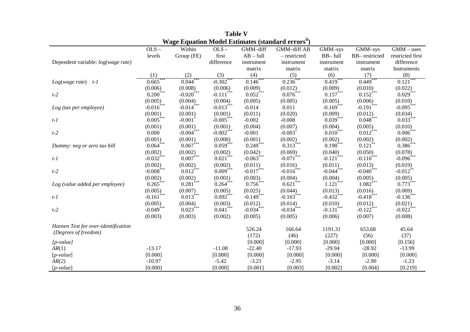| Wage Equation Model Estimates (standard errors") |                         |                         |                         |                          |                          |                          |                         |                  |  |  |
|--------------------------------------------------|-------------------------|-------------------------|-------------------------|--------------------------|--------------------------|--------------------------|-------------------------|------------------|--|--|
|                                                  | $OLS -$                 | Within                  | $OLS -$                 | GMM-diff                 | GMM-diff AB              | $\overline{GMM}$ -sys    | $\overline{GMM}$ -sys   | $GMM - uses$     |  |  |
|                                                  | levels                  | Group (FE)              | first                   | $AB - full$              | - restricted             | BB-full                  | BB-restricted           | restricted first |  |  |
| Dependent variable: log(wage rate)               |                         |                         | difference              | instrument               | instrument               | instrument               | instrument              | difference       |  |  |
|                                                  |                         |                         |                         | matrix                   | matrix                   | matrix                   | matrix                  | Instruments      |  |  |
|                                                  | (1)                     | (2)                     | (3)                     | (4)                      | (5)                      | (6)                      | (7)                     | (8)              |  |  |
| $Log(wage\ rate)$ t-1                            | $0.665***$              | 0.044                   | $-0.302***$             | $0.146***$               | $0.236^{**}$             | $0.419***$               | 0.449                   | 0.121            |  |  |
|                                                  | (0.006)                 | (0.008)                 | (0.006)                 | (0.009)                  | (0.012)                  | (0.009)                  | (0.010)                 | (0.022)          |  |  |
| $t-2$                                            | $0.200^{***}$           | $-0.020$ <sup>***</sup> | $-0.111$ <sup>*</sup>   | $0.052$ <sup>***</sup>   | $0.076***$               | $0.157$ <sup>***</sup>   | $0.152$ <sup>***</sup>  | $0.029***$       |  |  |
|                                                  | (0.005)                 | (0.004)                 | (0.004)                 | (0.005)                  | (0.005)                  | (0.005)                  | (0.006)                 | (0.010)          |  |  |
| Log (tax per employee)                           | $-0.016$ ***            | $-0.014***$             | $-0.013***$             | $-0.014$                 | 0.011                    | $-0.169$ ***             | $-0.191$ <sup>***</sup> | $-0.095***$      |  |  |
|                                                  | (0.001)                 | (0.001)                 | (0.001)                 | (0.011)                  | (0.020)                  | (0.009)                  | (0.012)                 | (0.034)          |  |  |
| $t-1$                                            | $0.005***$              | $-0.001$ <sup>*</sup>   | $-0.005***$             | $-0.002$                 | $-0.008$                 | $0.039***$               | $0.048$ ***             | $0.033***$       |  |  |
|                                                  | (0.001)                 | (0.001)                 | (0.001)                 | (0.004)                  | (0.007)                  | (0.004)                  | (0.005)                 | (0.010)          |  |  |
| $t-2$                                            | 0.000                   | $-0.004$ <sup>***</sup> | $-0.002$ <sup>***</sup> | $-0.001$                 | $-0.003$ <sup>*</sup>    | $0.010^{***}$            | $0.012$ <sup>***</sup>  | $0.006$ ***      |  |  |
|                                                  | (0.001)                 | (0.001)                 | (0.000)                 | (0.001)                  | (0.002)                  | (0.002)                  | (0.002)                 | (0.002)          |  |  |
| Dummy: neg or zero tax bill                      | $0.064***$              | $0.067^{\ast\ast\ast}$  | $0.059***$              | $0.249***$               | $0.313***$               | $0.190^{***}$            | $0.121***$              | $0.386^{***}$    |  |  |
|                                                  | (0.002)                 | (0.002)                 | (0.002)                 | (0.042)                  | (0.069)                  | (0.040)                  | (0.050)                 | (0.078)          |  |  |
| $t-1$                                            | $-0.032$ <sup>***</sup> | $0.007***$              | $0.021$ <sup>***</sup>  | $-0.063$ <sup>****</sup> | $-0.071$ <sup>***</sup>  | $-0.121$ <sup>***</sup>  | $-0.110^{***}$          | $-0.096$ ***     |  |  |
|                                                  | (0.002)                 | (0.002)                 | (0.002)                 | (0.011)                  | (0.016)                  | (0.011)                  | (0.013)                 | (0.019)          |  |  |
| $t-2$                                            | $-0.008$ <sup>***</sup> | $0.012$ ***             | $0.009***$              | $-0.017$ ***             | $-0.016$ <sup>***</sup>  | $-0.044$ <sup>****</sup> | $-0.040$ <sup>***</sup> | $-0.012$ **      |  |  |
|                                                  | (0.002)                 | (0.002)                 | (0.001)                 | (0.003)                  | (0.004)                  | (0.004)                  | (0.005)                 | (0.005)          |  |  |
| Log (value added per employee)                   | $0.265***$              | $0.281$ ***             | $0.264***$              | $0.756***$               | $0.621$ ***              | $1.121***$               | $1.082***$              | $0.773***$       |  |  |
|                                                  | (0.005)                 | (0.007)                 | (0.005)                 | (0.025)                  | (0.044)                  | (0.013)                  | (0.016)                 | (0.069)          |  |  |
| $t-1$                                            | $-0.161$                | $0.013***$              | $0.092$ ***             | $-0.149$ <sup>***</sup>  | $-0.163$ <sup>****</sup> | $-0.432$ ***             | $-0.418$ <sup>***</sup> | $-0.136$ ***     |  |  |
|                                                  | (0.005)                 | (0.004)                 | (0.003)                 | (0.012)                  | (0.014)                  | (0.010)                  | (0.012)                 | (0.021)          |  |  |
| $t-2$                                            | $-0.049$ <sup>***</sup> | $0.023$ <sup>***</sup>  | $0.041***$              | $-0.034$ <sup>****</sup> | $-0.034$ ***             | $-0.131$ <sup>***</sup>  | $-0.122$ ***            | $-0.022$ ***     |  |  |
|                                                  | (0.003)                 | (0.003)                 | (0.002)                 | (0.005)                  | (0.005)                  | (0.006)                  | (0.007)                 | (0.008)          |  |  |
| Hansen Test for over-identification              |                         |                         |                         |                          |                          |                          |                         |                  |  |  |
| (Degrees of freedom)                             |                         |                         |                         | 526.24                   | 166.64                   | 1191.31                  | 653.68                  | 45.64            |  |  |
|                                                  |                         |                         |                         | (172)                    | (46)                     | (227)                    | (56)                    | (37)             |  |  |
| $[p-value]$                                      |                         |                         |                         | [0.000]                  | [0.000]                  | [0.000]                  | [0.000]                 | [0.156]          |  |  |
| AR(1)                                            | $-13.17$                |                         | $-11.08$                | $-22.40$                 | $-17.93$                 | $-29.94$                 | $-28.92$                | $-13.99$         |  |  |
| $[p-value]$                                      | [0.000]                 |                         | [0.000]                 | [0.000]                  | [0.000]                  | [0.000]                  | [0.000]                 | [0.000]          |  |  |
| AR(2)                                            | $-10.97$                |                         | $-5.42$                 | $-3.21$                  | $-2.95$                  | $-3.14$                  | $-2.90$                 | $-1.23$          |  |  |
| $[p-value]$                                      | [0.000]                 |                         | [0.000]                 | [0.001]                  | [0.003]                  | [0.002]                  | [0.004]                 | [0.219]          |  |  |

**Table V Wage Equation Model Estimates (standard errorsii)**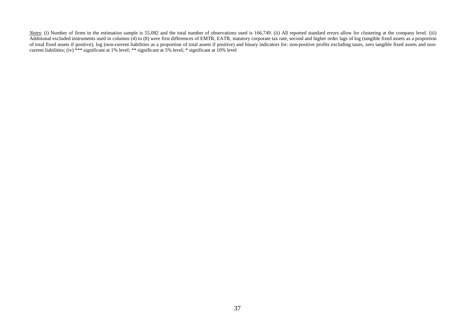*Notes*: (i) Number of firms in the estimation sample is 55,082 and the total number of observations used is 166,749. (ii) All reported standard errors allow for clustering at the company level. (iii) Additional excluded instruments used in columns (4) to (8) were first differences of EMTR, EATR, statutory corporate tax rate, second and higher order lags of log (tangible fixed assets as a proportion of total fixed assets if positive), log (non-current liabilities as a proportion of total assets if positive) and binary indicators for: non-positive profits excluding taxes, zero tangible fixed assets and noncurrent liabilities; (iv) \*\*\* significant at 1% level; \*\* significant at 5% level; \* significant at 10% level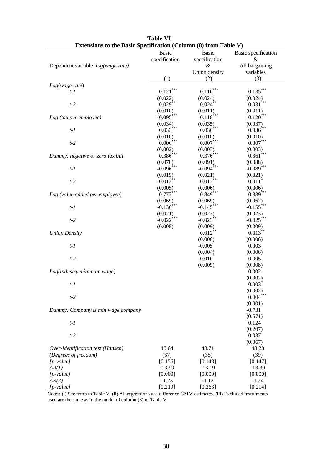| <b>Basic</b>                                   | Basic                   | Basic specification     |
|------------------------------------------------|-------------------------|-------------------------|
| specification                                  | specification           | &                       |
| Dependent variable: log(wage rate)             | &                       | All bargaining          |
|                                                | Union density           | variables               |
| (1)                                            | (2)                     | (3)                     |
| Log(wage rate)                                 |                         |                         |
| 0.121<br>$t-1$                                 | $0.116^{\ast\ast\ast}$  | $0.135***$              |
| (0.022)                                        | (0.024)                 | (0.024)                 |
| $0.029$ ***<br>$t-2$                           | $0.024$ **              | $0.031$ <sup>*</sup>    |
| (0.010)                                        | (0.011)                 | (0.011)                 |
| $-0.095***$<br>Log (tax per employee)          | $-0.118***$             | $-0.120$ ***            |
| (0.034)                                        | (0.035)                 | (0.037)                 |
| $0.033***$<br>$t-1$                            | $0.036^{\ast\ast\ast}$  | $0.036\sp{***}$         |
| (0.010)                                        | (0.010)                 | (0.010)                 |
| 0.006<br>$t-2$                                 | $0.007$ ***             | $0.007$ ***             |
| (0.002)                                        | (0.003)                 | (0.003)                 |
| $0.386***$<br>Dummy: negative or zero tax bill | $0.376***$              | $0.361***$              |
|                                                |                         |                         |
| (0.078)<br>$-0.096$ ***<br>$t-1$               | (0.091)<br>$-0.094$ *** | (0.088)<br>$-0.089$ *** |
|                                                |                         |                         |
| (0.019)                                        | (0.021)                 | (0.021)                 |
| $-0.012**$<br>$t-2$                            | $-0.012***$             | $-0.011$ <sup>*</sup>   |
| (0.005)                                        | (0.006)                 | (0.006)                 |
| $0.773***$<br>Log (value added per employee)   | $0.849***$              | $0.889***$              |
| (0.069)                                        | (0.069)                 | (0.067)                 |
| $-0.136$ <sup>***</sup><br>$t-1$               | $-0.145$ ***            | $-0.155$ ***            |
| (0.021)                                        | (0.023)                 | (0.023)                 |
| $-0.022$ ***<br>$t-2$                          | $-0.023***$             | $-0.025***$             |
| (0.008)                                        | (0.009)                 | (0.009)                 |
| <b>Union Density</b>                           | $0.012***$              | $0.013***$              |
|                                                | (0.006)                 | (0.006)                 |
| $t-1$                                          | $-0.005$                | 0.003                   |
|                                                | (0.004)                 | (0.006)                 |
| $t-2$                                          | $-0.010$                | $-0.005$                |
|                                                | (0.009)                 | (0.008)                 |
| Log(industry minimum wage)                     |                         | 0.002                   |
|                                                |                         | (0.002)                 |
| $t-1$                                          |                         | $0.003$ <sup>*</sup>    |
|                                                |                         | (0.002)                 |
| $t-2$                                          |                         | $0.004$ <sup>***</sup>  |
|                                                |                         | (0.001)                 |
| Dummy: Company is min wage company             |                         | $-0.731$                |
|                                                |                         | (0.571)                 |
| $t-1$                                          |                         | 0.124                   |
|                                                |                         | (0.207)                 |
| $t-2$                                          |                         | 0.037                   |
|                                                |                         | (0.067)                 |
| 45.64<br>Over-identification test (Hansen)     | 43.71                   | 48.28                   |
| (Degrees of freedom)<br>(37)                   | (35)                    | (39)                    |
| $[p-value]$<br>[0.156]                         | [0.148]                 | [0.147]                 |
| $-13.99$<br>AR(1)                              | $-13.19$                | $-13.30$                |
| $[p-value]$<br>[0.000]                         | [0.000]                 | [0.000]                 |
| $-1.23$<br>AR(2)                               | $-1.12$                 | $-1.24$                 |
| [0.219]<br>$[p-value]$                         | [0.263]                 | [0.214]                 |

| <b>Table VI</b>                                                        |
|------------------------------------------------------------------------|
| <b>Extensions to the Basic Specification (Column (8) from Table V)</b> |

Notes: (i) See notes to Table V. (ii) All regressions use difference GMM estimates. (iii) Excluded instruments used are the same as in the model of column (8) of Table V.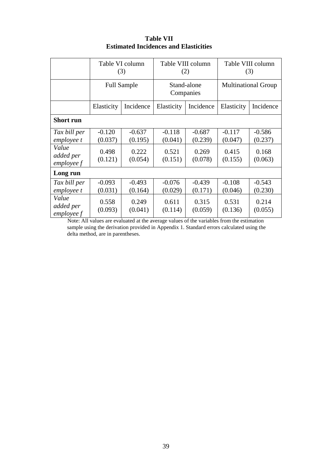|                                    |                    | Table VI column<br>(3) |                  | Table VIII column<br>(2) | Table VIII column<br>(3)   |                  |  |
|------------------------------------|--------------------|------------------------|------------------|--------------------------|----------------------------|------------------|--|
|                                    | <b>Full Sample</b> |                        |                  | Stand-alone<br>Companies | <b>Multinational Group</b> |                  |  |
|                                    | Elasticity         | Incidence              | Elasticity       | Incidence                | Elasticity                 | Incidence        |  |
| <b>Short run</b>                   |                    |                        |                  |                          |                            |                  |  |
| Tax bill per                       | $-0.120$           | $-0.637$               | $-0.118$         | $-0.687$                 | $-0.117$                   | $-0.586$         |  |
| employee t                         | (0.037)            | (0.195)                | (0.041)          | (0.239)                  | (0.047)                    | (0.237)          |  |
| Value<br>added per<br>$employee f$ | 0.498<br>(0.121)   | 0.222<br>(0.054)       | 0.521<br>(0.151) | 0.269<br>(0.078)         | 0.415<br>(0.155)           | 0.168<br>(0.063) |  |
| Long run                           |                    |                        |                  |                          |                            |                  |  |
| Tax bill per                       | $-0.093$           | $-0.493$               | $-0.076$         | $-0.439$                 | $-0.108$                   | $-0.543$         |  |
| employee t                         | (0.031)            | (0.164)                | (0.029)          | (0.171)                  | (0.046)                    | (0.230)          |  |
| Value<br>added per<br>emploveef    | 0.558<br>(0.093)   | 0.249<br>(0.041)       | 0.611<br>(0.114) | 0.315<br>(0.059)         | 0.531<br>(0.136)           | 0.214<br>(0.055) |  |

**Table VII Estimated Incidences and Elasticities**

Note: All values are evaluated at the average values of the variables from the estimation sample using the derivation provided in Appendix 1. Standard errors calculated using the delta method, are in parentheses.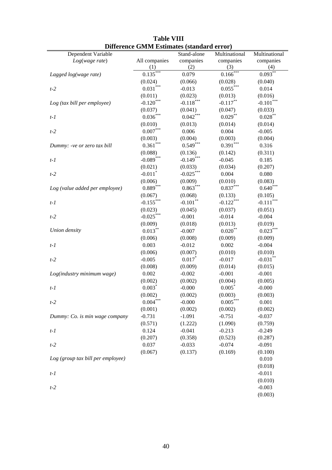| Dependent Variable                | Difference Given Estimates (standard effor <i>)</i> | Stand-alone  | Multinational   | Multinational |
|-----------------------------------|-----------------------------------------------------|--------------|-----------------|---------------|
| Log(wage rate)                    | All companies                                       | companies    | companies       | companies     |
|                                   | (1)                                                 | (2)          | (3)             | (4)           |
| Lagged log(wage rate)             | $0.135***$                                          | 0.079        | 0.166           | $0.093***$    |
|                                   | (0.024)                                             | (0.066)      | (0.028)         | (0.040)       |
| $t-2$                             | $0.031***$                                          | $-0.013$     | $0.055***$      | 0.014         |
|                                   | (0.011)                                             | (0.023)      | (0.013)         | (0.016)       |
| Log (tax bill per employee)       | $-0.120$ ***                                        | $-0.118$ *** | $-0.117***$     | $-0.101$      |
|                                   | (0.037)                                             | (0.041)      | (0.047)         | (0.033)       |
| $t-1$                             | $0.036***$                                          | $0.042***$   | $0.029***$      | $0.028***$    |
|                                   | (0.010)                                             | (0.013)      | (0.014)         | (0.014)       |
| $t-2$                             | $0.007\sp{*}^{***}$                                 | 0.006        | 0.004           | $-0.005$      |
|                                   | (0.003)                                             | (0.004)      | (0.003)         | (0.004)       |
|                                   | $0.361***$                                          | $0.549***$   | $0.391***$      | 0.316         |
| Dummy: -ve or zero tax bill       |                                                     |              |                 |               |
|                                   | (0.088)                                             | (0.136)      | (0.142)         | (0.311)       |
| $t-1$                             | $-0.089***$                                         | $-0.149***$  | $-0.045$        | 0.185         |
|                                   | (0.021)                                             | (0.033)      | (0.034)         | (0.207)       |
| $t-2$                             | $-0.011$ <sup>*</sup>                               | $-0.025***$  | 0.004           | 0.080         |
|                                   | (0.006)                                             | (0.009)      | (0.010)         | (0.083)       |
| Log (value added per employee)    | $0.889***$                                          | $0.863***$   | $0.837***$      | $0.640***$    |
|                                   | (0.067)                                             | (0.068)      | (0.133)         | (0.105)       |
| $t-1$                             | $-0.155***$                                         | $-0.101***$  | $-0.122***$     | $-0.111***$   |
|                                   | (0.023)                                             | (0.045)      | (0.037)         | (0.051)       |
| $t-2$                             | $-0.025***$                                         | $-0.001$     | $-0.014$        | $-0.004$      |
|                                   | (0.009)                                             | (0.018)      | (0.013)         | (0.019)       |
| Union density                     | $0.013***$                                          | $-0.007$     | $0.020***$      | $0.023***$    |
|                                   | (0.006)                                             | (0.008)      | (0.009)         | (0.009)       |
| $t-1$                             | 0.003                                               | $-0.012$     | 0.002           | $-0.004$      |
|                                   | (0.006)                                             | (0.007)      | (0.010)         | (0.010)       |
| $t-2$                             | $-0.005$                                            | $0.017*$     | $-0.017$        | $-0.031***$   |
|                                   | (0.008)                                             | (0.009)      | (0.014)         | (0.015)       |
| Log(industry minimum wage)        | 0.002                                               | $-0.002$     | $-0.001$        | $-0.001$      |
|                                   | (0.002)                                             | (0.002)      | (0.004)         | (0.005)       |
| $t-1$                             | $0.003*$                                            | $-0.000$     | $0.005*$        | $-0.000$      |
|                                   | (0.002)                                             | (0.002)      | (0.003)         | (0.003)       |
| $t-2$                             | $0.004^{***}\,$                                     | $-0.000$     | $0.005\sp{***}$ | 0.001         |
|                                   | (0.001)                                             | (0.002)      | (0.002)         | (0.002)       |
| Dummy: Co. is min wage company    | $-0.731$                                            | $-1.091$     | $-0.751$        | $-0.037$      |
|                                   | (0.571)                                             | (1.222)      | (1.090)         | (0.759)       |
| $t-1$                             | 0.124                                               | $-0.041$     | $-0.213$        | $-0.249$      |
|                                   | (0.207)                                             | (0.358)      | (0.523)         | (0.287)       |
| $t-2$                             | 0.037                                               | $-0.033$     | $-0.074$        | $-0.091$      |
|                                   | (0.067)                                             | (0.137)      | (0.169)         | (0.100)       |
| Log (group tax bill per employee) |                                                     |              |                 | 0.010         |
|                                   |                                                     |              |                 |               |
|                                   |                                                     |              |                 | (0.018)       |
| $t-1$                             |                                                     |              |                 | $-0.011$      |
|                                   |                                                     |              |                 | (0.010)       |
| $t-2$                             |                                                     |              |                 | $-0.003$      |
|                                   |                                                     |              |                 | (0.003)       |

### **Table VIII Difference GMM Estimates (standard error)**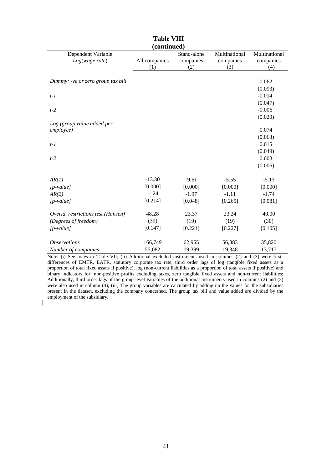| (continued)                        |               |             |               |               |  |  |  |  |  |
|------------------------------------|---------------|-------------|---------------|---------------|--|--|--|--|--|
| Dependent Variable                 |               | Stand-alone | Multinational | Multinational |  |  |  |  |  |
| Log(wage rate)                     | All companies | companies   | companies     | companies     |  |  |  |  |  |
|                                    | (1)           | (2)         | (3)           | (4)           |  |  |  |  |  |
|                                    |               |             |               |               |  |  |  |  |  |
| Dummy: -ve or zero group tax bill  |               |             |               | $-0.062$      |  |  |  |  |  |
|                                    |               |             |               | (0.093)       |  |  |  |  |  |
| $t-1$                              |               |             |               | $-0.014$      |  |  |  |  |  |
|                                    |               |             |               | (0.047)       |  |  |  |  |  |
| $t-2$                              |               |             |               | $-0.006$      |  |  |  |  |  |
|                                    |               |             |               | (0.020)       |  |  |  |  |  |
| Log (group value added per         |               |             |               |               |  |  |  |  |  |
| employee)                          |               |             |               | 0.074         |  |  |  |  |  |
|                                    |               |             |               | (0.063)       |  |  |  |  |  |
| $t-1$                              |               |             |               | 0.015         |  |  |  |  |  |
|                                    |               |             |               | (0.049)       |  |  |  |  |  |
| $t-2$                              |               |             |               | 0.003         |  |  |  |  |  |
|                                    |               |             |               | (0.006)       |  |  |  |  |  |
|                                    |               |             |               |               |  |  |  |  |  |
| AR(1)                              | $-13.30$      | $-9.61$     | $-5.55$       | $-5.13$       |  |  |  |  |  |
| $[p-value]$                        | [0.000]       | [0.000]     | [0.000]       | [0.000]       |  |  |  |  |  |
| AR(2)                              | $-1.24$       | $-1.97$     | $-1.11$       | $-1.74$       |  |  |  |  |  |
| $[p-value]$                        | [0.214]       | [0.048]     | [0.265]       | [0.081]       |  |  |  |  |  |
|                                    |               |             |               |               |  |  |  |  |  |
| Overid. restrictions test (Hansen) | 48.28         | 23.37       | 23.24         | 40.00         |  |  |  |  |  |
| (Degrees of freedom)               | (39)          | (19)        | (19)          | (30)          |  |  |  |  |  |
| $[p-value]$                        | [0.147]       | [0.221]     | [0.227]       | [0.105]       |  |  |  |  |  |
|                                    |               |             |               |               |  |  |  |  |  |
| <b>Observations</b>                | 166,749       | 62,955      | 56,883        | 35,820        |  |  |  |  |  |
| Number of companies                | 55,082        | 19,399      | 19,348        | 13,717        |  |  |  |  |  |

**Table VIII (continued)**

Note: (i) See notes to Table VII; (ii) Additional excluded instruments used in columns (2) and (3) were firstdifferences of EMTR, EATR, statutory corporate tax rate, third order lags of log (tangible fixed assets as a proportion of total fixed assets if positive), log (non-current liabilities as a proportion of total assets if positive) and binary indicators for: non-positive profits excluding taxes, zero tangible fixed assets and non-current liabilities; Additionally, third order lags of the group level variables of the additional instruments used in columns (2) and (3) were also used in column (4); (iii) The group variables are calculated by adding up the values for the subsidiaries present in the dataset, excluding the company concerned. The group tax bill and value added are divided by the employment of the subsidiary.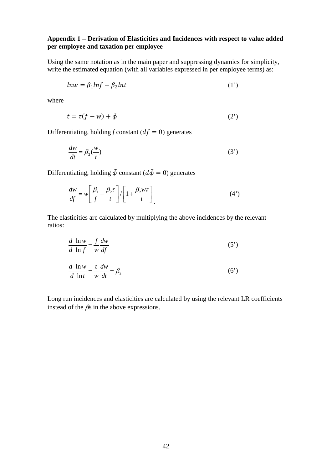#### **Appendix 1 – Derivation of Elasticities and Incidences with respect to value added per employee and taxation per employee**

Using the same notation as in the main paper and suppressing dynamics for simplicity, write the estimated equation (with all variables expressed in per employee terms) as:

$$
ln w = \beta_1 ln f + \beta_2 ln t \tag{1'}
$$

where

$$
t = \tau(f - w) + \tilde{\phi} \tag{2'}
$$

Differentiating, holding *f* constant ( $df = 0$ ) generates

$$
\frac{dw}{dt} = \beta_2(\frac{w}{t})\tag{3'}
$$

Differentiating, holding  $\tilde{\phi}$  constant ( $d\tilde{\phi} = 0$ ) generates

$$
\frac{dw}{df} = w \left[ \frac{\beta_1}{f} + \frac{\beta_2 \tau}{t} \right] / \left[ 1 + \frac{\beta_2 w \tau}{t} \right] \tag{4'}
$$

The elasticities are calculated by multiplying the above incidences by the relevant ratios:

$$
\frac{d \ln w}{d \ln f} = \frac{f}{w} \frac{dw}{df} \tag{5'}
$$

$$
\frac{d \ln w}{d \ln t} = \frac{t}{w} \frac{dw}{dt} = \beta_2 \tag{6'}
$$

Long run incidences and elasticities are calculated by using the relevant LR coefficients instead of the  $\beta$ s in the above expressions.